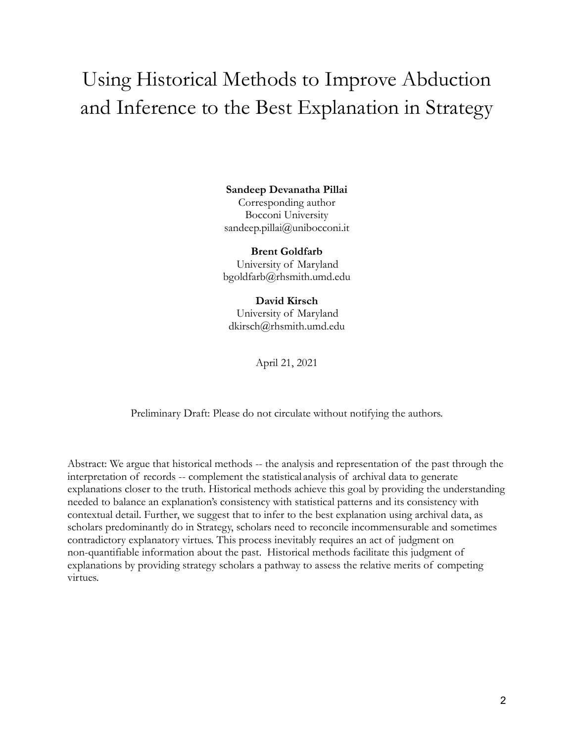# Using Historical Methods to Improve Abduction and Inference to the Best Explanation in Strategy

#### **Sandeep Devanatha Pillai**

Corresponding author Bocconi University sandeep.pillai@unibocconi.it

**Brent Goldfarb** University of Maryland bgoldfarb@rhsmith.umd.edu

**David Kirsch** University of Maryland dkirsch@rhsmith.umd.edu

April 21, 2021

Preliminary Draft: Please do not circulate without notifying the authors.

Abstract: We argue that historical methods -- the analysis and representation of the past through the interpretation of records -- complement the statistical analysis of archival data to generate explanations closer to the truth. Historical methods achieve this goal by providing the understanding needed to balance an explanation's consistency with statistical patterns and its consistency with contextual detail. Further, we suggest that to infer to the best explanation using archival data, as scholars predominantly do in Strategy, scholars need to reconcile incommensurable and sometimes contradictory explanatory virtues. This process inevitably requires an act of judgment on non-quantifiable information about the past. Historical methods facilitate this judgment of explanations by providing strategy scholars a pathway to assess the relative merits of competing virtues.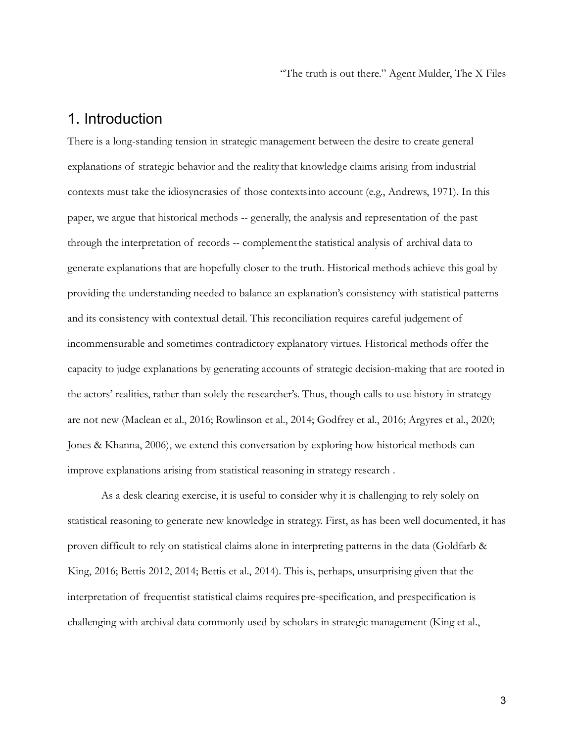"The truth is out there." Agent Mulder, The X Files

## 1. Introduction

There is a long-standing tension in strategic management between the desire to create general explanations of strategic behavior and the reality that knowledge claims arising from industrial contexts must take the idiosyncrasies of those contextsinto account (e.g., Andrews, 1971). In this paper, we argue that historical methods -- generally, the analysis and representation of the past through the interpretation of records -- complementthe statistical analysis of archival data to generate explanations that are hopefully closer to the truth. Historical methods achieve this goal by providing the understanding needed to balance an explanation's consistency with statistical patterns and its consistency with contextual detail. This reconciliation requires careful judgement of incommensurable and sometimes contradictory explanatory virtues. Historical methods offer the capacity to judge explanations by generating accounts of strategic decision-making that are rooted in the actors' realities, rather than solely the researcher's. Thus, though calls to use history in strategy are not new (Maclean et al., 2016; Rowlinson et al., 2014; Godfrey et al., 2016; Argyres et al., 2020; Jones & Khanna, 2006), we extend this conversation by exploring how historical methods can improve explanations arising from statistical reasoning in strategy research .

As a desk clearing exercise, it is useful to consider why it is challenging to rely solely on statistical reasoning to generate new knowledge in strategy. First, as has been well documented, it has proven difficult to rely on statistical claims alone in interpreting patterns in the data (Goldfarb & King, 2016; Bettis 2012, 2014; Bettis et al., 2014). This is, perhaps, unsurprising given that the interpretation of frequentist statistical claims requires pre-specification, and prespecification is challenging with archival data commonly used by scholars in strategic management (King et al.,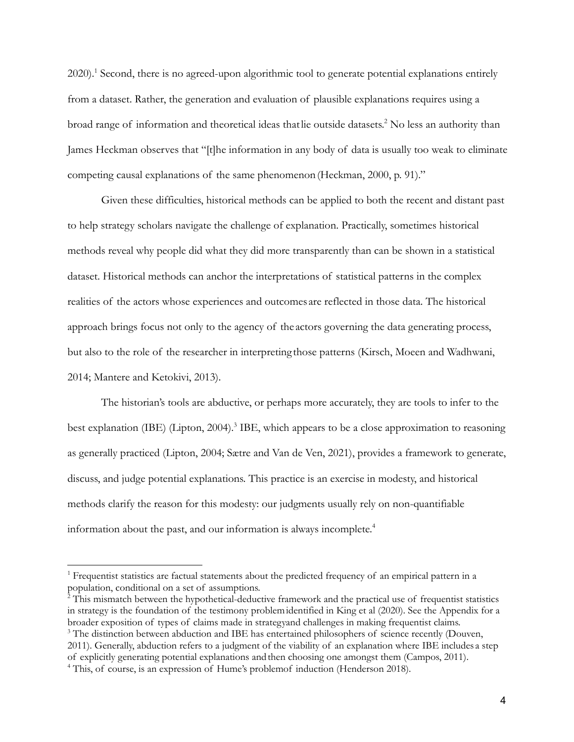2020).1 Second, there is no agreed-upon algorithmic tool to generate potential explanations entirely from a dataset. Rather, the generation and evaluation of plausible explanations requires using a broad range of information and theoretical ideas thatlie outside datasets. <sup>2</sup> No less an authority than James Heckman observes that "[t]he information in any body of data is usually too weak to eliminate competing causal explanations of the same phenomenon(Heckman, 2000, p. 91)."

Given these difficulties, historical methods can be applied to both the recent and distant past to help strategy scholars navigate the challenge of explanation. Practically, sometimes historical methods reveal why people did what they did more transparently than can be shown in a statistical dataset. Historical methods can anchor the interpretations of statistical patterns in the complex realities of the actors whose experiences and outcomes are reflected in those data. The historical approach brings focus not only to the agency of the actors governing the data generating process, but also to the role of the researcher in interpreting those patterns (Kirsch, Moeen and Wadhwani, 2014; Mantere and Ketokivi, 2013).

The historian's tools are abductive, or perhaps more accurately, they are tools to infer to the best explanation (IBE) (Lipton, 2004).<sup>3</sup> IBE, which appears to be a close approximation to reasoning as generally practiced (Lipton, 2004; Sætre and Van de Ven, 2021), provides a framework to generate, discuss, and judge potential explanations. This practice is an exercise in modesty, and historical methods clarify the reason for this modesty: our judgments usually rely on non-quantifiable information about the past, and our information is always incomplete. 4

<sup>&</sup>lt;sup>1</sup> Frequentist statistics are factual statements about the predicted frequency of an empirical pattern in a population, conditional on a set of assumptions.

<sup>&</sup>lt;sup>4</sup> This, of course, is an expression of Hume's problemof induction (Henderson 2018). <sup>3</sup> The distinction between abduction and IBE has entertained philosophers of science recently (Douven, 2011). Generally, abduction refers to a judgment of the viability of an explanation where IBE includes a step of explicitly generating potential explanations andthen choosing one amongst them (Campos, 2011).  $2$  This mismatch between the hypothetical-deductive framework and the practical use of frequentist statistics in strategy is the foundation of the testimony problemidentified in King et al (2020). See the Appendix for a broader exposition of types of claims made in strategyand challenges in making frequentist claims.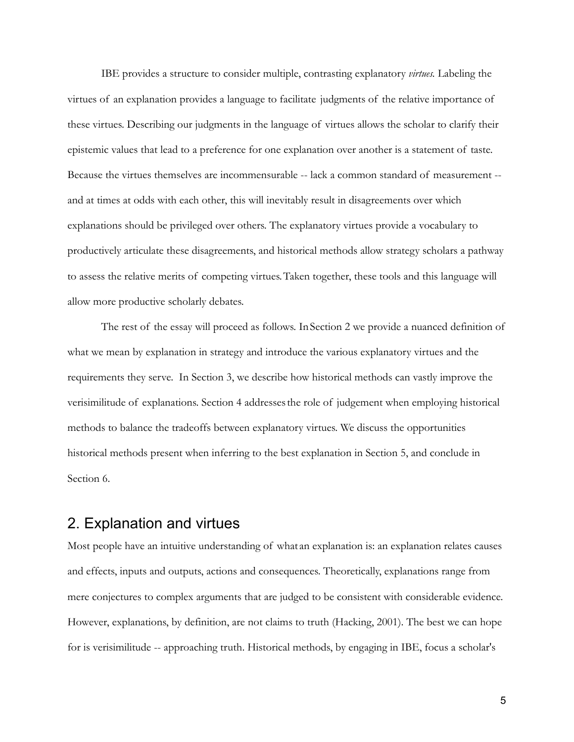IBE provides a structure to consider multiple, contrasting explanatory *virtues.* Labeling the virtues of an explanation provides a language to facilitate judgments of the relative importance of these virtues. Describing our judgments in the language of virtues allows the scholar to clarify their epistemic values that lead to a preference for one explanation over another is a statement of taste. Because the virtues themselves are incommensurable -- lack a common standard of measurement - and at times at odds with each other, this will inevitably result in disagreements over which explanations should be privileged over others. The explanatory virtues provide a vocabulary to productively articulate these disagreements, and historical methods allow strategy scholars a pathway to assess the relative merits of competing virtues.Taken together, these tools and this language will allow more productive scholarly debates.

The rest of the essay will proceed as follows. InSection 2 we provide a nuanced definition of what we mean by explanation in strategy and introduce the various explanatory virtues and the requirements they serve. In Section 3, we describe how historical methods can vastly improve the verisimilitude of explanations. Section 4 addressesthe role of judgement when employing historical methods to balance the tradeoffs between explanatory virtues. We discuss the opportunities historical methods present when inferring to the best explanation in Section 5, and conclude in Section 6.

## 2. Explanation and virtues

Most people have an intuitive understanding of what an explanation is: an explanation relates causes and effects, inputs and outputs, actions and consequences. Theoretically, explanations range from mere conjectures to complex arguments that are judged to be consistent with considerable evidence. However, explanations, by definition, are not claims to truth (Hacking, 2001). The best we can hope for is verisimilitude -- approaching truth. Historical methods, by engaging in IBE, focus a scholar's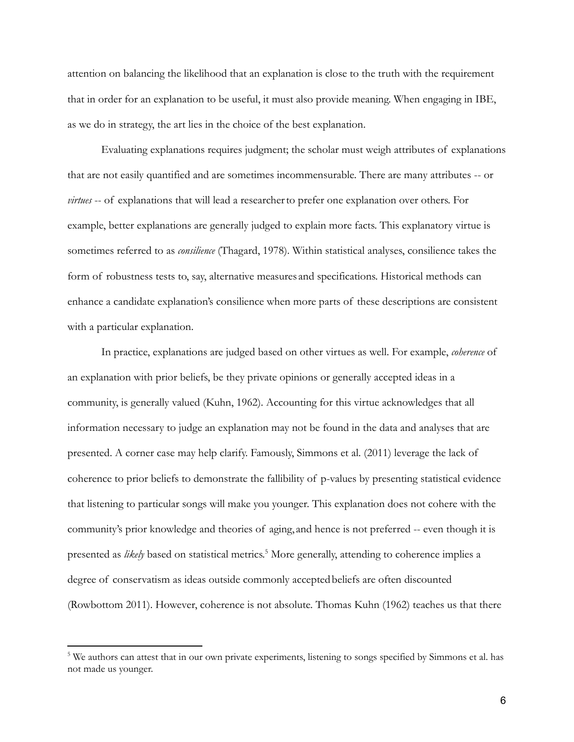attention on balancing the likelihood that an explanation is close to the truth with the requirement that in order for an explanation to be useful, it must also provide meaning. When engaging in IBE, as we do in strategy, the art lies in the choice of the best explanation.

Evaluating explanations requires judgment; the scholar must weigh attributes of explanations that are not easily quantified and are sometimes incommensurable. There are many attributes -- or *virtues* -- of explanations that will lead a researcherto prefer one explanation over others. For example, better explanations are generally judged to explain more facts. This explanatory virtue is sometimes referred to as *consilience* (Thagard, 1978). Within statistical analyses, consilience takes the form of robustness tests to, say, alternative measures and specifications. Historical methods can enhance a candidate explanation's consilience when more parts of these descriptions are consistent with a particular explanation.

In practice, explanations are judged based on other virtues as well. For example, *coherence* of an explanation with prior beliefs, be they private opinions or generally accepted ideas in a community, is generally valued (Kuhn, 1962). Accounting for this virtue acknowledges that all information necessary to judge an explanation may not be found in the data and analyses that are presented. A corner case may help clarify. Famously, Simmons et al. (2011) leverage the lack of coherence to prior beliefs to demonstrate the fallibility of p-values by presenting statistical evidence that listening to particular songs will make you younger. This explanation does not cohere with the community's prior knowledge and theories of aging, and hence is not preferred -- even though it is presented as *likely* based on statistical metrics. <sup>5</sup> More generally, attending to coherence implies a degree of conservatism as ideas outside commonly acceptedbeliefs are often discounted (Rowbottom 2011). However, coherence is not absolute. Thomas Kuhn (1962) teaches us that there

<sup>5</sup> We authors can attest that in our own private experiments, listening to songs specified by Simmons et al. has not made us younger.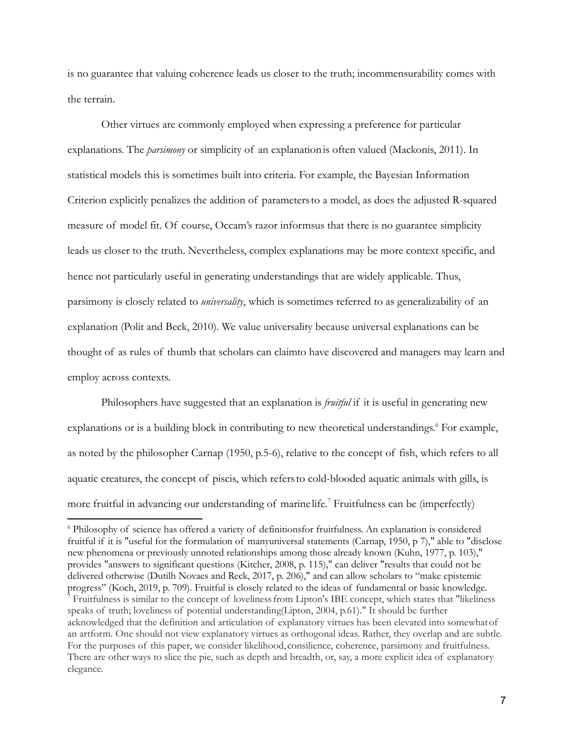is no guarantee that valuing coherence leads us closer to the truth; incommensurability comes with the terrain.

Other virtues are commonly employed when expressing a preference for particular explanations. The *parsimony* or simplicity of an explanationis often valued (Mackonis, 2011). In statistical models this is sometimes built into criteria. For example, the Bayesian Information Criterion explicitly penalizes the addition of parametersto a model, as does the adjusted R-squared measure of model fit. Of course, Occam's razor informsus that there is no guarantee simplicity leads us closer to the truth. Nevertheless, complex explanations may be more context specific, and hence not particularly useful in generating understandings that are widely applicable. Thus, parsimony is closely related to *universality*, which is sometimes referred to as generalizability of an explanation (Polit and Beck, 2010). We value universality because universal explanations can be thought of as rules of thumb that scholars can claimto have discovered and managers may learn and employ across contexts.

Philosophers have suggested that an explanation is *fruitful* if it is useful in generating new explanations or is a building block in contributing to new theoretical understandings. <sup>6</sup> For example, as noted by the philosopher Carnap (1950, p.5-6), relative to the concept of fish, which refers to all aquatic creatures, the concept of piscis, which refersto cold-blooded aquatic animals with gills, is more fruitful in advancing our understanding of marine life. <sup>7</sup> Fruitfulness can be (imperfectly)

<sup>&</sup>lt;sup>7</sup> Fruitfulness is similar to the concept of loveliness from Lipton's IBE concept, which states that "likeliness speaks of truth; loveliness of potential understanding(Lipton, 2004, p.61)." It should be further acknowledged that the definition and articulation of explanatory virtues has been elevated into somewhatof an artform. One should not view explanatory virtues as orthogonal ideas. Rather, they overlap and are subtle. For the purposes of this paper, we consider likelihood, consilience, coherence, parsimony and fruitfulness. There are other ways to slice the pie, such as depth and breadth, or, say, a more explicit idea of explanatory elegance. <sup>6</sup> Philosophy of science has offered a variety of definitionsfor fruitfulness. An explanation is considered fruitful if it is "useful for the formulation of manyuniversal statements (Carnap, 1950, p 7)," able to "disclose new phenomena or previously unnoted relationships among those already known (Kuhn, 1977, p. 103)," provides "answers to significant questions (Kitcher, 2008, p. 115)," can deliver "results that could not be delivered otherwise (Dutilh Novaes and Reck, 2017, p. 206)," and can allow scholars to "make epistemic progress" (Koch, 2019, p. 709). Fruitful is closely related to the ideas of fundamental or basic knowledge.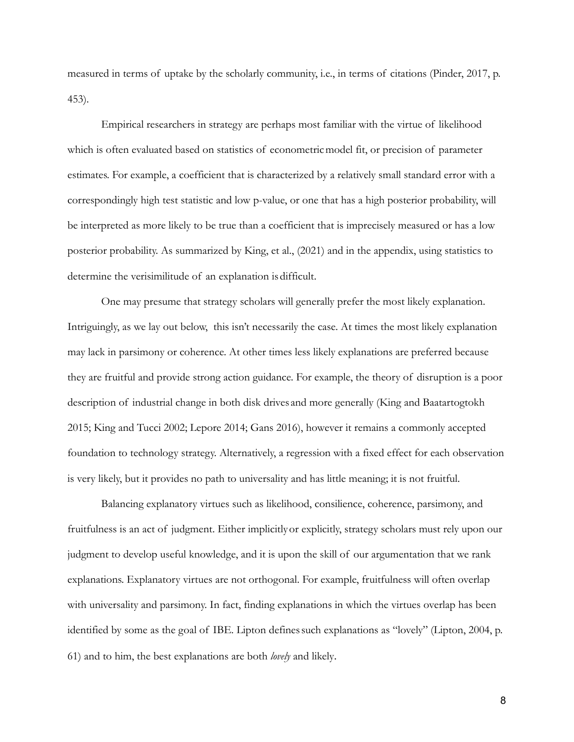measured in terms of uptake by the scholarly community, i.e., in terms of citations (Pinder, 2017, p. 453).

Empirical researchers in strategy are perhaps most familiar with the virtue of likelihood which is often evaluated based on statistics of econometricmodel fit, or precision of parameter estimates. For example, a coefficient that is characterized by a relatively small standard error with a correspondingly high test statistic and low p-value, or one that has a high posterior probability, will be interpreted as more likely to be true than a coefficient that is imprecisely measured or has a low posterior probability. As summarized by King, et al., (2021) and in the appendix, using statistics to determine the verisimilitude of an explanation is difficult.

One may presume that strategy scholars will generally prefer the most likely explanation. Intriguingly, as we lay out below, this isn't necessarily the case. At times the most likely explanation may lack in parsimony or coherence. At other times less likely explanations are preferred because they are fruitful and provide strong action guidance. For example, the theory of disruption is a poor description of industrial change in both disk drives and more generally (King and Baatartogtokh 2015; King and Tucci 2002; Lepore 2014; Gans 2016), however it remains a commonly accepted foundation to technology strategy. Alternatively, a regression with a fixed effect for each observation is very likely, but it provides no path to universality and has little meaning; it is not fruitful.

Balancing explanatory virtues such as likelihood, consilience, coherence, parsimony, and fruitfulness is an act of judgment. Either implicitlyor explicitly, strategy scholars must rely upon our judgment to develop useful knowledge, and it is upon the skill of our argumentation that we rank explanations. Explanatory virtues are not orthogonal. For example, fruitfulness will often overlap with universality and parsimony. In fact, finding explanations in which the virtues overlap has been identified by some as the goal of IBE. Lipton definessuch explanations as "lovely" (Lipton, 2004, p. 61) and to him, the best explanations are both *lovely* and likely.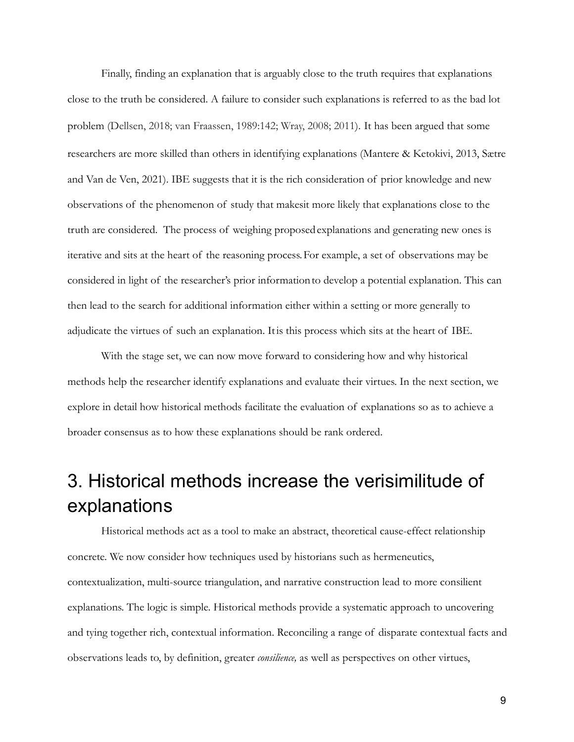Finally, finding an explanation that is arguably close to the truth requires that explanations close to the truth be considered. A failure to consider such explanations is referred to as the bad lot problem (Dellsen, 2018; van Fraassen, 1989:142; Wray, 2008; 2011). It has been argued that some researchers are more skilled than others in identifying explanations (Mantere & Ketokivi, 2013, Sætre and Van de Ven, 2021). IBE suggests that it is the rich consideration of prior knowledge and new observations of the phenomenon of study that makesit more likely that explanations close to the truth are considered. The process of weighing proposedexplanations and generating new ones is iterative and sits at the heart of the reasoning process.For example, a set of observations may be considered in light of the researcher's prior informationto develop a potential explanation. This can then lead to the search for additional information either within a setting or more generally to adjudicate the virtues of such an explanation. Itis this process which sits at the heart of IBE.

With the stage set, we can now move forward to considering how and why historical methods help the researcher identify explanations and evaluate their virtues. In the next section, we explore in detail how historical methods facilitate the evaluation of explanations so as to achieve a broader consensus as to how these explanations should be rank ordered.

# 3. Historical methods increase the verisimilitude of explanations

Historical methods act as a tool to make an abstract, theoretical cause-effect relationship concrete. We now consider how techniques used by historians such as hermeneutics, contextualization, multi-source triangulation, and narrative construction lead to more consilient explanations. The logic is simple. Historical methods provide a systematic approach to uncovering and tying together rich, contextual information. Reconciling a range of disparate contextual facts and observations leads to, by definition, greater *consilience,* as well as perspectives on other virtues,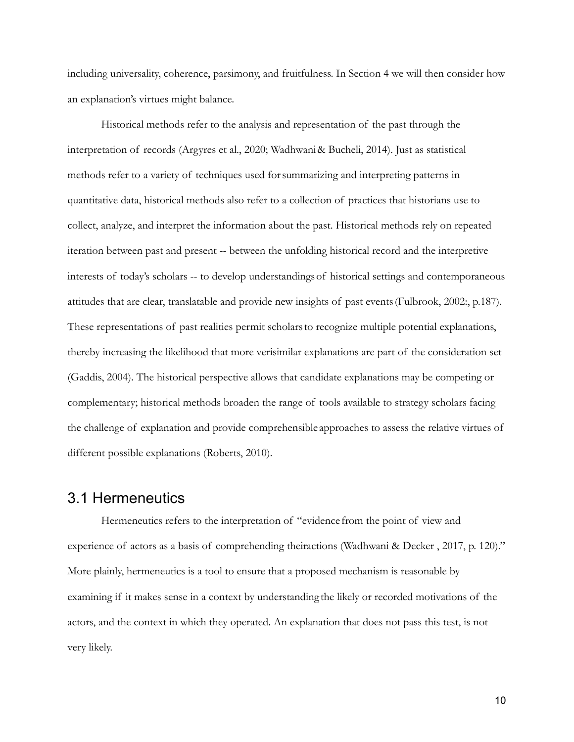including universality, coherence, parsimony, and fruitfulness. In Section 4 we will then consider how an explanation's virtues might balance.

Historical methods refer to the analysis and representation of the past through the interpretation of records (Argyres et al., 2020; Wadhwani& Bucheli, 2014). Just as statistical methods refer to a variety of techniques used forsummarizing and interpreting patterns in quantitative data, historical methods also refer to a collection of practices that historians use to collect, analyze, and interpret the information about the past. Historical methods rely on repeated iteration between past and present -- between the unfolding historical record and the interpretive interests of today's scholars -- to develop understandingsof historical settings and contemporaneous attitudes that are clear, translatable and provide new insights of past events(Fulbrook, 2002:, p.187). These representations of past realities permit scholarsto recognize multiple potential explanations, thereby increasing the likelihood that more verisimilar explanations are part of the consideration set (Gaddis, 2004). The historical perspective allows that candidate explanations may be competing or complementary; historical methods broaden the range of tools available to strategy scholars facing the challenge of explanation and provide comprehensible approaches to assess the relative virtues of different possible explanations (Roberts, 2010).

#### 3.1 Hermeneutics

Hermeneutics refers to the interpretation of "evidence from the point of view and experience of actors as a basis of comprehending theiractions (Wadhwani & Decker , 2017, p. 120)." More plainly, hermeneutics is a tool to ensure that a proposed mechanism is reasonable by examining if it makes sense in a context by understanding the likely or recorded motivations of the actors, and the context in which they operated. An explanation that does not pass this test, is not very likely.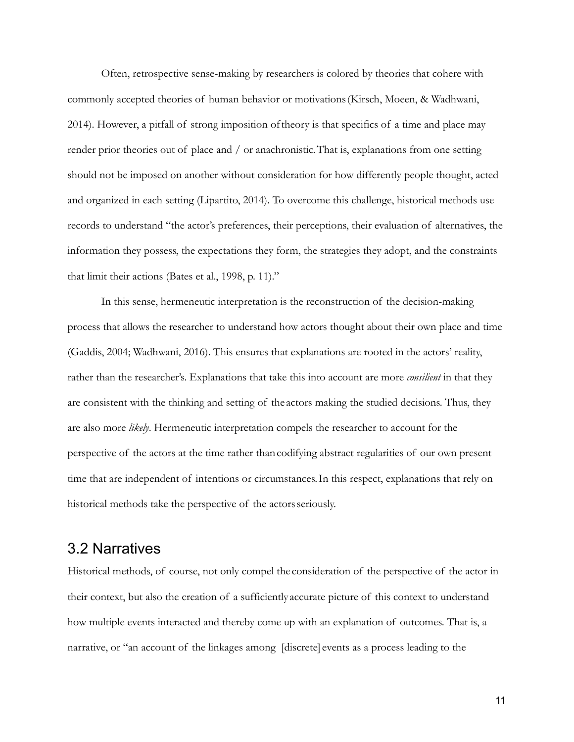Often, retrospective sense-making by researchers is colored by theories that cohere with commonly accepted theories of human behavior or motivations(Kirsch, Moeen, & Wadhwani, 2014). However, a pitfall of strong imposition oftheory is that specifics of a time and place may render prior theories out of place and / or anachronistic.That is, explanations from one setting should not be imposed on another without consideration for how differently people thought, acted and organized in each setting (Lipartito, 2014). To overcome this challenge, historical methods use records to understand "the actor's preferences, their perceptions, their evaluation of alternatives, the information they possess, the expectations they form, the strategies they adopt, and the constraints that limit their actions (Bates et al., 1998, p. 11)."

In this sense, hermeneutic interpretation is the reconstruction of the decision-making process that allows the researcher to understand how actors thought about their own place and time (Gaddis, 2004; Wadhwani, 2016). This ensures that explanations are rooted in the actors' reality, rather than the researcher's. Explanations that take this into account are more *consilient* in that they are consistent with the thinking and setting of the actors making the studied decisions. Thus, they are also more *likely*. Hermeneutic interpretation compels the researcher to account for the perspective of the actors at the time rather thancodifying abstract regularities of our own present time that are independent of intentions or circumstances.In this respect, explanations that rely on historical methods take the perspective of the actors seriously.

## 3.2 Narratives

Historical methods, of course, not only compel the consideration of the perspective of the actor in their context, but also the creation of a sufficiently accurate picture of this context to understand how multiple events interacted and thereby come up with an explanation of outcomes. That is, a narrative, or "an account of the linkages among [discrete] events as a process leading to the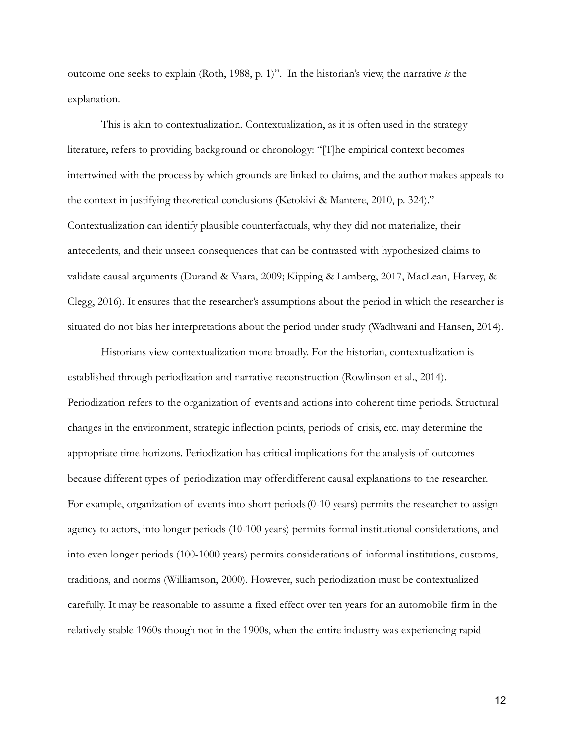outcome one seeks to explain (Roth, 1988, p. 1)". In the historian's view, the narrative *is* the explanation.

This is akin to contextualization. Contextualization, as it is often used in the strategy literature, refers to providing background or chronology: "[T]he empirical context becomes intertwined with the process by which grounds are linked to claims, and the author makes appeals to the context in justifying theoretical conclusions (Ketokivi & Mantere, 2010, p. 324)." Contextualization can identify plausible counterfactuals, why they did not materialize, their antecedents, and their unseen consequences that can be contrasted with hypothesized claims to validate causal arguments (Durand & Vaara, 2009; Kipping & Lamberg, 2017, MacLean, Harvey, & Clegg, 2016). It ensures that the researcher's assumptions about the period in which the researcher is situated do not bias her interpretations about the period under study (Wadhwani and Hansen, 2014).

Historians view contextualization more broadly. For the historian, contextualization is established through periodization and narrative reconstruction (Rowlinson et al., 2014). Periodization refers to the organization of events and actions into coherent time periods. Structural changes in the environment, strategic inflection points, periods of crisis, etc. may determine the appropriate time horizons. Periodization has critical implications for the analysis of outcomes because different types of periodization may offerdifferent causal explanations to the researcher. For example, organization of events into short periods(0-10 years) permits the researcher to assign agency to actors, into longer periods (10-100 years) permits formal institutional considerations, and into even longer periods (100-1000 years) permits considerations of informal institutions, customs, traditions, and norms (Williamson, 2000). However, such periodization must be contextualized carefully. It may be reasonable to assume a fixed effect over ten years for an automobile firm in the relatively stable 1960s though not in the 1900s, when the entire industry was experiencing rapid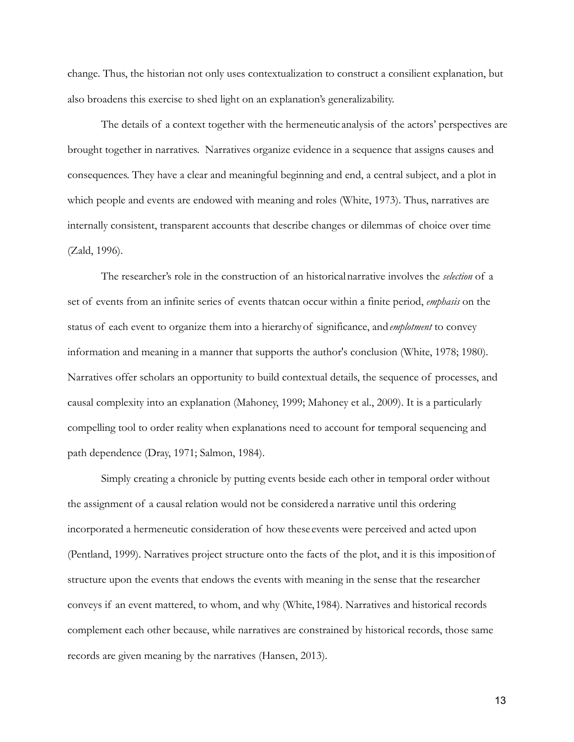change. Thus, the historian not only uses contextualization to construct a consilient explanation, but also broadens this exercise to shed light on an explanation's generalizability.

The details of a context together with the hermeneutic analysis of the actors' perspectives are brought together in narratives. Narratives organize evidence in a sequence that assigns causes and consequences. They have a clear and meaningful beginning and end, a central subject, and a plot in which people and events are endowed with meaning and roles (White, 1973). Thus, narratives are internally consistent, transparent accounts that describe changes or dilemmas of choice over time (Zald, 1996).

The researcher's role in the construction of an historicalnarrative involves the *selection* of a set of events from an infinite series of events thatcan occur within a finite period, *emphasis* on the status of each event to organize them into a hierarchyof significance, and*emplotment* to convey information and meaning in a manner that supports the author's conclusion (White, 1978; 1980). Narratives offer scholars an opportunity to build contextual details, the sequence of processes, and causal complexity into an explanation (Mahoney, 1999; Mahoney et al., 2009). It is a particularly compelling tool to order reality when explanations need to account for temporal sequencing and path dependence (Dray, 1971; Salmon, 1984).

Simply creating a chronicle by putting events beside each other in temporal order without the assignment of a causal relation would not be considereda narrative until this ordering incorporated a hermeneutic consideration of how these events were perceived and acted upon (Pentland, 1999). Narratives project structure onto the facts of the plot, and it is this impositionof structure upon the events that endows the events with meaning in the sense that the researcher conveys if an event mattered, to whom, and why (White, 1984). Narratives and historical records complement each other because, while narratives are constrained by historical records, those same records are given meaning by the narratives (Hansen, 2013).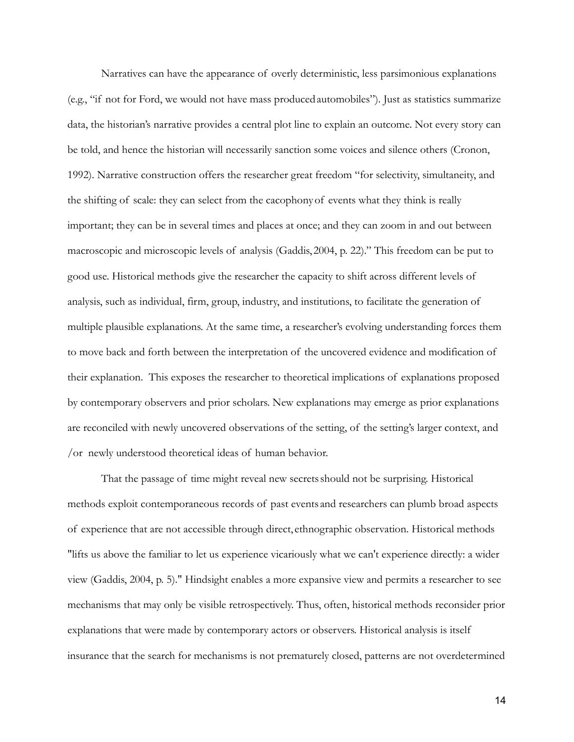Narratives can have the appearance of overly deterministic, less parsimonious explanations (e.g., "if not for Ford, we would not have mass producedautomobiles"). Just as statistics summarize data, the historian's narrative provides a central plot line to explain an outcome. Not every story can be told, and hence the historian will necessarily sanction some voices and silence others (Cronon, 1992). Narrative construction offers the researcher great freedom "for selectivity, simultaneity, and the shifting of scale: they can select from the cacophonyof events what they think is really important; they can be in several times and places at once; and they can zoom in and out between macroscopic and microscopic levels of analysis (Gaddis, 2004, p. 22)." This freedom can be put to good use. Historical methods give the researcher the capacity to shift across different levels of analysis, such as individual, firm, group, industry, and institutions, to facilitate the generation of multiple plausible explanations. At the same time, a researcher's evolving understanding forces them to move back and forth between the interpretation of the uncovered evidence and modification of their explanation. This exposes the researcher to theoretical implications of explanations proposed by contemporary observers and prior scholars. New explanations may emerge as prior explanations are reconciled with newly uncovered observations of the setting, of the setting's larger context, and /or newly understood theoretical ideas of human behavior.

That the passage of time might reveal new secretsshould not be surprising. Historical methods exploit contemporaneous records of past events and researchers can plumb broad aspects of experience that are not accessible through direct, ethnographic observation. Historical methods "lifts us above the familiar to let us experience vicariously what we can't experience directly: a wider view (Gaddis, 2004, p. 5)." Hindsight enables a more expansive view and permits a researcher to see mechanisms that may only be visible retrospectively. Thus, often, historical methods reconsider prior explanations that were made by contemporary actors or observers. Historical analysis is itself insurance that the search for mechanisms is not prematurely closed, patterns are not overdetermined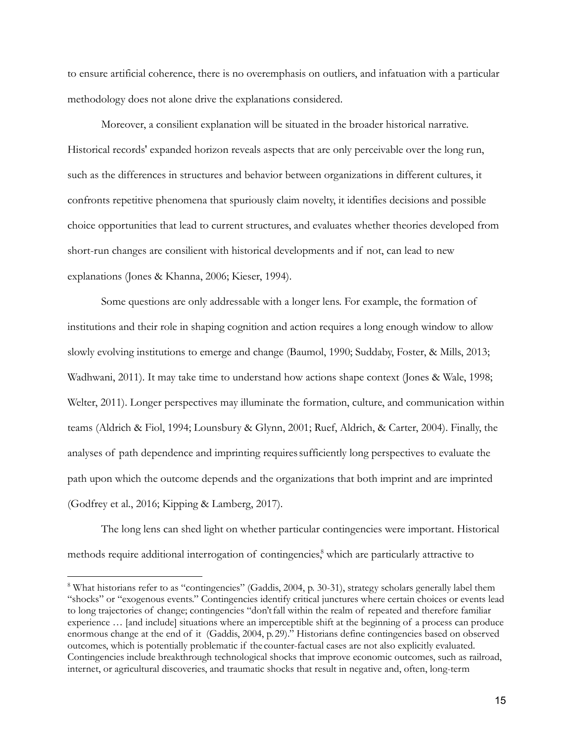to ensure artificial coherence, there is no overemphasis on outliers, and infatuation with a particular methodology does not alone drive the explanations considered.

Moreover, a consilient explanation will be situated in the broader historical narrative. Historical records' expanded horizon reveals aspects that are only perceivable over the long run, such as the differences in structures and behavior between organizations in different cultures, it confronts repetitive phenomena that spuriously claim novelty, it identifies decisions and possible choice opportunities that lead to current structures, and evaluates whether theories developed from short-run changes are consilient with historical developments and if not, can lead to new explanations (Jones & Khanna, 2006; Kieser, 1994).

Some questions are only addressable with a longer lens. For example, the formation of institutions and their role in shaping cognition and action requires a long enough window to allow slowly evolving institutions to emerge and change (Baumol, 1990; Suddaby, Foster, & Mills, 2013; Wadhwani, 2011). It may take time to understand how actions shape context (Jones & Wale, 1998; Welter, 2011). Longer perspectives may illuminate the formation, culture, and communication within teams (Aldrich & Fiol, 1994; Lounsbury & Glynn, 2001; Ruef, Aldrich, & Carter, 2004). Finally, the analyses of path dependence and imprinting requiressufficiently long perspectives to evaluate the path upon which the outcome depends and the organizations that both imprint and are imprinted (Godfrey et al., 2016; Kipping & Lamberg, 2017).

The long lens can shed light on whether particular contingencies were important. Historical methods require additional interrogation of contingencies, <sup>8</sup> which are particularly attractive to

<sup>&</sup>lt;sup>8</sup> What historians refer to as "contingencies" (Gaddis, 2004, p. 30-31), strategy scholars generally label them "shocks" or "exogenous events." Contingencies identify critical junctures where certain choices or events lead to long trajectories of change; contingencies "don't fall within the realm of repeated and therefore familiar experience … [and include] situations where an imperceptible shift at the beginning of a process can produce enormous change at the end of it (Gaddis, 2004, p. 29)." Historians define contingencies based on observed outcomes, which is potentially problematic if the counter-factual cases are not also explicitly evaluated. Contingencies include breakthrough technological shocks that improve economic outcomes, such as railroad, internet, or agricultural discoveries, and traumatic shocks that result in negative and, often, long-term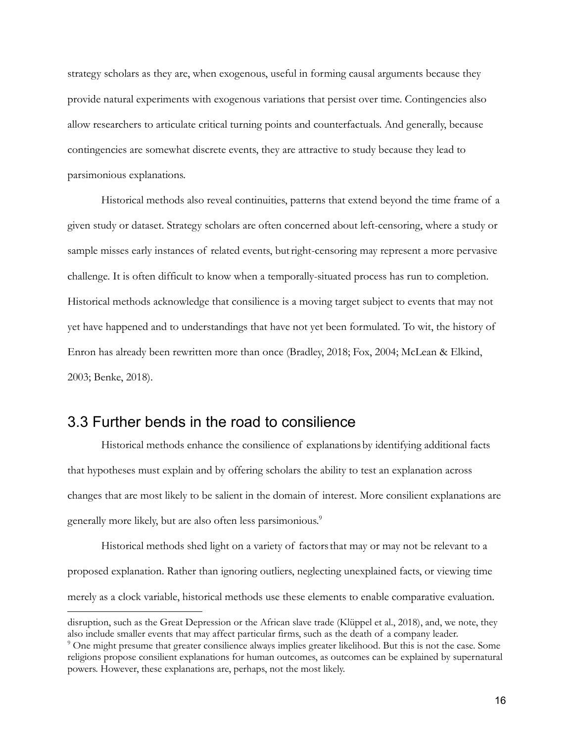strategy scholars as they are, when exogenous, useful in forming causal arguments because they provide natural experiments with exogenous variations that persist over time. Contingencies also allow researchers to articulate critical turning points and counterfactuals. And generally, because contingencies are somewhat discrete events, they are attractive to study because they lead to parsimonious explanations.

Historical methods also reveal continuities, patterns that extend beyond the time frame of a given study or dataset. Strategy scholars are often concerned about left-censoring, where a study or sample misses early instances of related events, butright-censoring may represent a more pervasive challenge. It is often difficult to know when a temporally-situated process has run to completion. Historical methods acknowledge that consilience is a moving target subject to events that may not yet have happened and to understandings that have not yet been formulated. To wit, the history of Enron has already been rewritten more than once (Bradley, 2018; Fox, 2004; McLean & Elkind, 2003; Benke, 2018).

### 3.3 Further bends in the road to consilience

Historical methods enhance the consilience of explanationsby identifying additional facts that hypotheses must explain and by offering scholars the ability to test an explanation across changes that are most likely to be salient in the domain of interest. More consilient explanations are generally more likely, but are also often less parsimonious. 9

Historical methods shed light on a variety of factorsthat may or may not be relevant to a proposed explanation. Rather than ignoring outliers, neglecting unexplained facts, or viewing time merely as a clock variable, historical methods use these elements to enable comparative evaluation.

disruption, such as the Great Depression or the African slave trade (Klüppel et al., 2018), and, we note, they also include smaller events that may affect particular firms, such as the death of a company leader.

<sup>9</sup> One might presume that greater consilience always implies greater likelihood. But this is not the case. Some religions propose consilient explanations for human outcomes, as outcomes can be explained by supernatural powers. However, these explanations are, perhaps, not the most likely.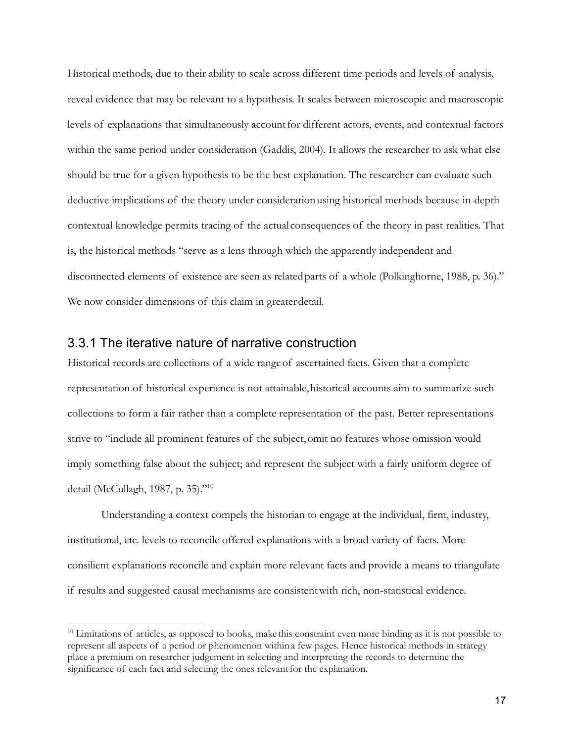Historical methods, due to their ability to scale across different time periods and levels of analysis, reveal evidence that may be relevant to a hypothesis. It scales between microscopic and macroscopic levels of explanations that simultaneously accountfor different actors, events, and contextual factors within the same period under consideration (Gaddis, 2004). It allows the researcher to ask what else should be true for a given hypothesis to be the best explanation. The researcher can evaluate such deductive implications of the theory under considerationusing historical methods because in-depth contextual knowledge permits tracing of the actual consequences of the theory in past realities. That is, the historical methods "serve as a lens through which the apparently independent and disconnected elements of existence are seen as related parts of a whole (Polkinghorne, 1988, p. 36)." We now consider dimensions of this claim in greaterdetail.

#### 3.3.1 The iterative nature of narrative construction

Historical records are collections of a wide rangeof ascertained facts. Given that a complete representation of historical experience is not attainable,historical accounts aim to summarize such collections to form a fair rather than a complete representation of the past. Better representations strive to "include all prominent features of the subject,omit no features whose omission would imply something false about the subject; and represent the subject with a fairly uniform degree of detail (McCullagh, 1987, p. 35)."10

Understanding a context compels the historian to engage at the individual, firm, industry, institutional, etc. levels to reconcile offered explanations with a broad variety of facts. More consilient explanations reconcile and explain more relevant facts and provide a means to triangulate if results and suggested causal mechanisms are consistentwith rich, non-statistical evidence.

<sup>&</sup>lt;sup>10</sup> Limitations of articles, as opposed to books, make this constraint even more binding as it is not possible to represent all aspects of a period or phenomenon withina few pages. Hence historical methods in strategy place a premium on researcher judgement in selecting and interpreting the records to determine the significance of each fact and selecting the ones relevant for the explanation.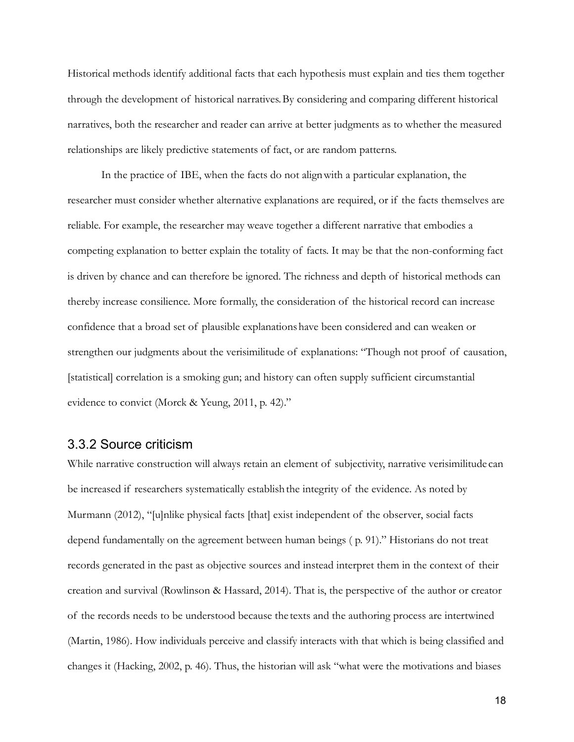Historical methods identify additional facts that each hypothesis must explain and ties them together through the development of historical narratives.By considering and comparing different historical narratives, both the researcher and reader can arrive at better judgments as to whether the measured relationships are likely predictive statements of fact, or are random patterns.

In the practice of IBE, when the facts do not alignwith a particular explanation, the researcher must consider whether alternative explanations are required, or if the facts themselves are reliable. For example, the researcher may weave together a different narrative that embodies a competing explanation to better explain the totality of facts. It may be that the non-conforming fact is driven by chance and can therefore be ignored. The richness and depth of historical methods can thereby increase consilience. More formally, the consideration of the historical record can increase confidence that a broad set of plausible explanationshave been considered and can weaken or strengthen our judgments about the verisimilitude of explanations: "Though not proof of causation, [statistical] correlation is a smoking gun; and history can often supply sufficient circumstantial evidence to convict (Morck & Yeung, 2011, p. 42)."

#### 3.3.2 Source criticism

While narrative construction will always retain an element of subjectivity, narrative verisimilitude can be increased if researchers systematically establishthe integrity of the evidence. As noted by Murmann (2012), "[u]nlike physical facts [that] exist independent of the observer, social facts depend fundamentally on the agreement between human beings ( p. 91)." Historians do not treat records generated in the past as objective sources and instead interpret them in the context of their creation and survival (Rowlinson & Hassard, 2014). That is, the perspective of the author or creator of the records needs to be understood because the texts and the authoring process are intertwined (Martin, 1986). How individuals perceive and classify interacts with that which is being classified and changes it (Hacking, 2002, p. 46). Thus, the historian will ask "what were the motivations and biases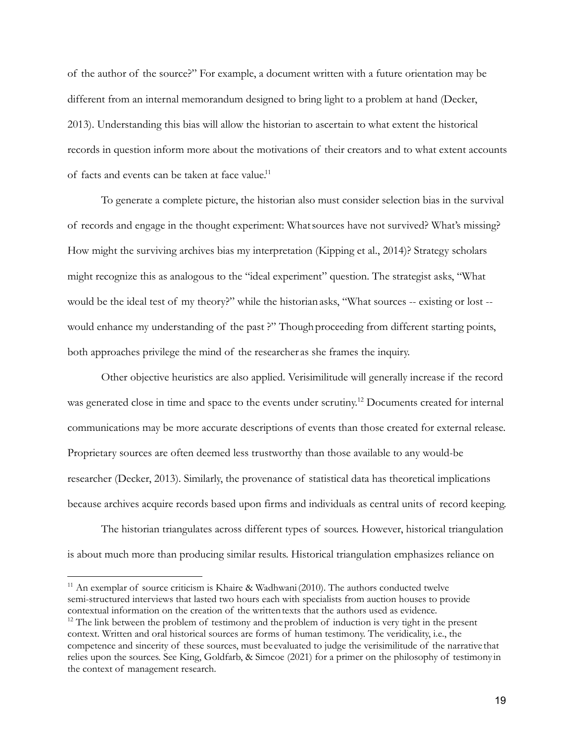of the author of the source?" For example, a document written with a future orientation may be different from an internal memorandum designed to bring light to a problem at hand (Decker, 2013). Understanding this bias will allow the historian to ascertain to what extent the historical records in question inform more about the motivations of their creators and to what extent accounts of facts and events can be taken at face value.<sup>11</sup>

To generate a complete picture, the historian also must consider selection bias in the survival of records and engage in the thought experiment: Whatsources have not survived? What's missing? How might the surviving archives bias my interpretation (Kipping et al., 2014)? Strategy scholars might recognize this as analogous to the "ideal experiment" question. The strategist asks, "What would be the ideal test of my theory?" while the historianasks, "What sources -- existing or lost - would enhance my understanding of the past ?" Though proceeding from different starting points, both approaches privilege the mind of the researcher as she frames the inquiry.

Other objective heuristics are also applied. Verisimilitude will generally increase if the record was generated close in time and space to the events under scrutiny.<sup>12</sup> Documents created for internal communications may be more accurate descriptions of events than those created for external release. Proprietary sources are often deemed less trustworthy than those available to any would-be researcher (Decker, 2013). Similarly, the provenance of statistical data has theoretical implications because archives acquire records based upon firms and individuals as central units of record keeping.

The historian triangulates across different types of sources. However, historical triangulation is about much more than producing similar results. Historical triangulation emphasizes reliance on

 $11$  An exemplar of source criticism is Khaire & Wadhwani (2010). The authors conducted twelve semi-structured interviews that lasted two hours each with specialists from auction houses to provide contextual information on the creation of the writtentexts that the authors used as evidence.

 $12$  The link between the problem of testimony and the problem of induction is very tight in the present context. Written and oral historical sources are forms of human testimony. The veridicality, i.e., the competence and sincerity of these sources, must be evaluated to judge the verisimilitude of the narrative that relies upon the sources. See King, Goldfarb, & Simcoe (2021) for a primer on the philosophy of testimony in the context of management research.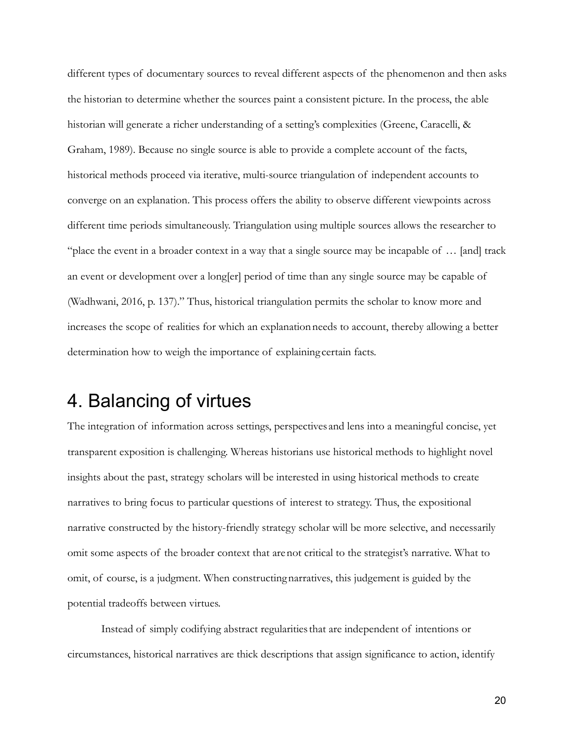different types of documentary sources to reveal different aspects of the phenomenon and then asks the historian to determine whether the sources paint a consistent picture. In the process, the able historian will generate a richer understanding of a setting's complexities (Greene, Caracelli, & Graham, 1989). Because no single source is able to provide a complete account of the facts, historical methods proceed via iterative, multi-source triangulation of independent accounts to converge on an explanation. This process offers the ability to observe different viewpoints across different time periods simultaneously. Triangulation using multiple sources allows the researcher to "place the event in a broader context in a way that a single source may be incapable of … [and] track an event or development over a long[er] period of time than any single source may be capable of (Wadhwani, 2016, p. 137)." Thus, historical triangulation permits the scholar to know more and increases the scope of realities for which an explanationneeds to account, thereby allowing a better determination how to weigh the importance of explaining certain facts.

# 4. Balancing of virtues

The integration of information across settings, perspectives and lens into a meaningful concise, yet transparent exposition is challenging. Whereas historians use historical methods to highlight novel insights about the past, strategy scholars will be interested in using historical methods to create narratives to bring focus to particular questions of interest to strategy. Thus, the expositional narrative constructed by the history-friendly strategy scholar will be more selective, and necessarily omit some aspects of the broader context that arenot critical to the strategist's narrative. What to omit, of course, is a judgment. When constructingnarratives, this judgement is guided by the potential tradeoffs between virtues.

Instead of simply codifying abstract regularitiesthat are independent of intentions or circumstances, historical narratives are thick descriptions that assign significance to action, identify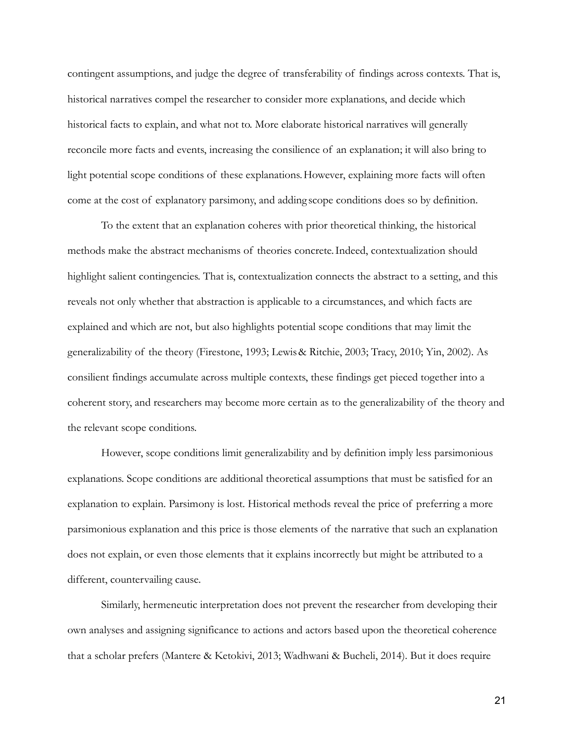contingent assumptions, and judge the degree of transferability of findings across contexts. That is, historical narratives compel the researcher to consider more explanations, and decide which historical facts to explain, and what not to. More elaborate historical narratives will generally reconcile more facts and events, increasing the consilience of an explanation; it will also bring to light potential scope conditions of these explanations.However, explaining more facts will often come at the cost of explanatory parsimony, and adding scope conditions does so by definition.

To the extent that an explanation coheres with prior theoretical thinking, the historical methods make the abstract mechanisms of theories concrete.Indeed, contextualization should highlight salient contingencies. That is, contextualization connects the abstract to a setting, and this reveals not only whether that abstraction is applicable to a circumstances, and which facts are explained and which are not, but also highlights potential scope conditions that may limit the generalizability of the theory (Firestone, 1993; Lewis& Ritchie, 2003; Tracy, 2010; Yin, 2002). As consilient findings accumulate across multiple contexts, these findings get pieced together into a coherent story, and researchers may become more certain as to the generalizability of the theory and the relevant scope conditions.

However, scope conditions limit generalizability and by definition imply less parsimonious explanations. Scope conditions are additional theoretical assumptions that must be satisfied for an explanation to explain. Parsimony is lost. Historical methods reveal the price of preferring a more parsimonious explanation and this price is those elements of the narrative that such an explanation does not explain, or even those elements that it explains incorrectly but might be attributed to a different, countervailing cause.

Similarly, hermeneutic interpretation does not prevent the researcher from developing their own analyses and assigning significance to actions and actors based upon the theoretical coherence that a scholar prefers (Mantere & Ketokivi, 2013; Wadhwani & Bucheli, 2014). But it does require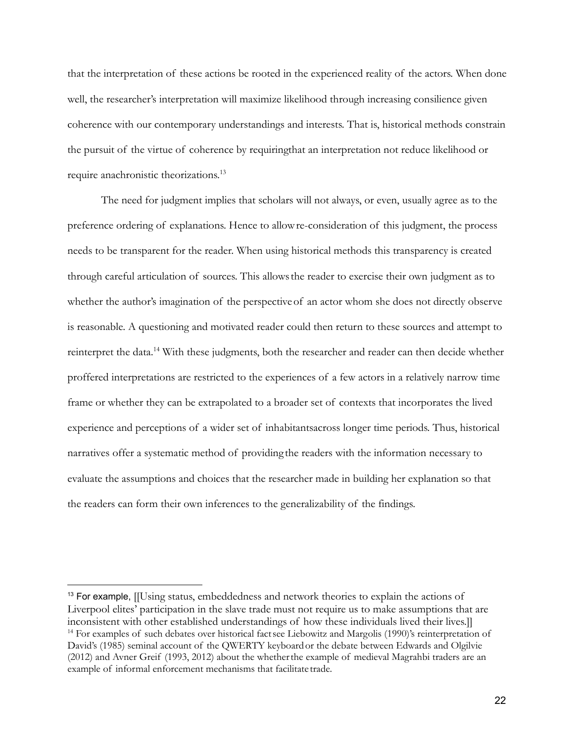that the interpretation of these actions be rooted in the experienced reality of the actors. When done well, the researcher's interpretation will maximize likelihood through increasing consilience given coherence with our contemporary understandings and interests. That is, historical methods constrain the pursuit of the virtue of coherence by requiringthat an interpretation not reduce likelihood or require anachronistic theorizations.<sup>13</sup>

The need for judgment implies that scholars will not always, or even, usually agree as to the preference ordering of explanations. Hence to allowre-consideration of this judgment, the process needs to be transparent for the reader. When using historical methods this transparency is created through careful articulation of sources. This allowsthe reader to exercise their own judgment as to whether the author's imagination of the perspectiveof an actor whom she does not directly observe is reasonable. A questioning and motivated reader could then return to these sources and attempt to reinterpret the data.14 With these judgments, both the researcher and reader can then decide whether proffered interpretations are restricted to the experiences of a few actors in a relatively narrow time frame or whether they can be extrapolated to a broader set of contexts that incorporates the lived experience and perceptions of a wider set of inhabitantsacross longer time periods. Thus, historical narratives offer a systematic method of providing the readers with the information necessary to evaluate the assumptions and choices that the researcher made in building her explanation so that the readers can form their own inferences to the generalizability of the findings.

<sup>&</sup>lt;sup>14</sup> For examples of such debates over historical factsee Liebowitz and Margolis (1990)'s reinterpretation of David's (1985) seminal account of the QWERTY keyboardor the debate between Edwards and Olgilvie (2012) and Avner Greif (1993, 2012) about the whetherthe example of medieval Magrahbi traders are an example of informal enforcement mechanisms that facilitate trade. <sup>13</sup> For example, [[Using status, embeddedness and network theories to explain the actions of Liverpool elites' participation in the slave trade must not require us to make assumptions that are inconsistent with other established understandings of how these individuals lived their lives.]]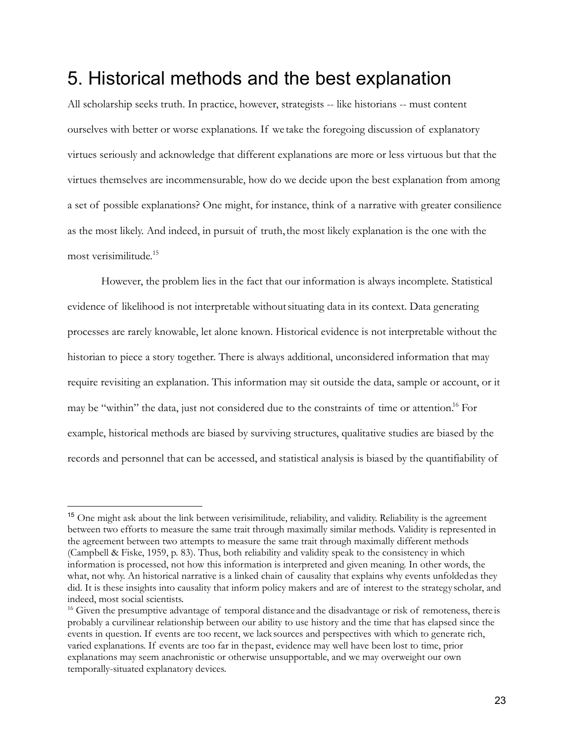# 5. Historical methods and the best explanation

All scholarship seeks truth. In practice, however, strategists -- like historians -- must content ourselves with better or worse explanations. If we take the foregoing discussion of explanatory virtues seriously and acknowledge that different explanations are more or less virtuous but that the virtues themselves are incommensurable, how do we decide upon the best explanation from among a set of possible explanations? One might, for instance, think of a narrative with greater consilience as the most likely. And indeed, in pursuit of truth,the most likely explanation is the one with the most verisimilitude. 15

However, the problem lies in the fact that our information is always incomplete. Statistical evidence of likelihood is not interpretable withoutsituating data in its context. Data generating processes are rarely knowable, let alone known. Historical evidence is not interpretable without the historian to piece a story together. There is always additional, unconsidered information that may require revisiting an explanation. This information may sit outside the data, sample or account, or it may be "within" the data, just not considered due to the constraints of time or attention.<sup>16</sup> For example, historical methods are biased by surviving structures, qualitative studies are biased by the records and personnel that can be accessed, and statistical analysis is biased by the quantifiability of

<sup>&</sup>lt;sup>15</sup> One might ask about the link between verisimilitude, reliability, and validity. Reliability is the agreement between two efforts to measure the same trait through maximally similar methods. Validity is represented in the agreement between two attempts to measure the same trait through maximally different methods (Campbell & Fiske, 1959, p. 83). Thus, both reliability and validity speak to the consistency in which information is processed, not how this information is interpreted and given meaning. In other words, the what, not why. An historical narrative is a linked chain of causality that explains why events unfolded as they did. It is these insights into causality that inform policy makers and are of interest to the strategy scholar, and indeed, most social scientists.

<sup>&</sup>lt;sup>16</sup> Given the presumptive advantage of temporal distance and the disadvantage or risk of remoteness, there is probably a curvilinear relationship between our ability to use history and the time that has elapsed since the events in question. If events are too recent, we lack sources and perspectives with which to generate rich, varied explanations. If events are too far in thepast, evidence may well have been lost to time, prior explanations may seem anachronistic or otherwise unsupportable, and we may overweight our own temporally-situated explanatory devices.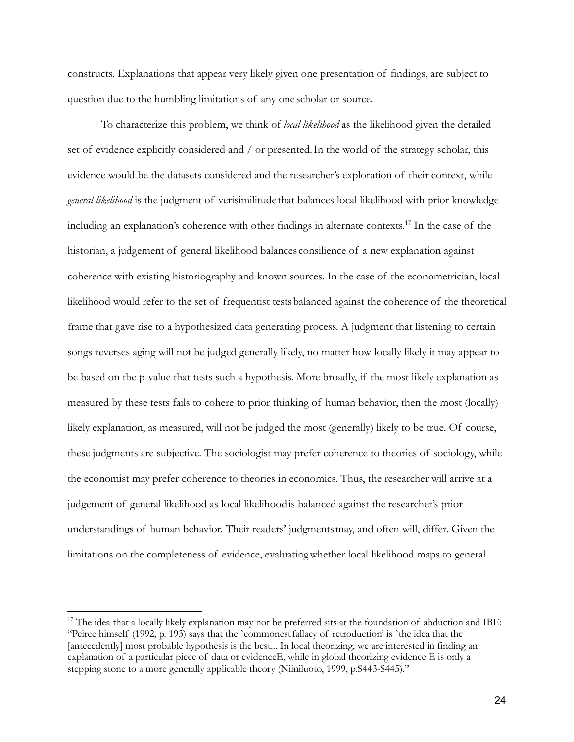constructs. Explanations that appear very likely given one presentation of findings, are subject to question due to the humbling limitations of any one scholar or source.

To characterize this problem, we think of *local likelihood* as the likelihood given the detailed set of evidence explicitly considered and / or presented.In the world of the strategy scholar, this evidence would be the datasets considered and the researcher's exploration of their context, while *general likelihood* is the judgment of verisimilitude that balances local likelihood with prior knowledge including an explanation's coherence with other findings in alternate contexts. <sup>17</sup> In the case of the historian, a judgement of general likelihood balances consilience of a new explanation against coherence with existing historiography and known sources. In the case of the econometrician, local likelihood would refer to the set of frequentist testsbalanced against the coherence of the theoretical frame that gave rise to a hypothesized data generating process. A judgment that listening to certain songs reverses aging will not be judged generally likely, no matter how locally likely it may appear to be based on the p-value that tests such a hypothesis. More broadly, if the most likely explanation as measured by these tests fails to cohere to prior thinking of human behavior, then the most (locally) likely explanation, as measured, will not be judged the most (generally) likely to be true. Of course, these judgments are subjective. The sociologist may prefer coherence to theories of sociology, while the economist may prefer coherence to theories in economics. Thus, the researcher will arrive at a judgement of general likelihood as local likelihoodis balanced against the researcher's prior understandings of human behavior. Their readers' judgmentsmay, and often will, differ. Given the limitations on the completeness of evidence, evaluatingwhether local likelihood maps to general

 $17$  The idea that a locally likely explanation may not be preferred sits at the foundation of abduction and IBE: "Peirce himself (1992, p. 193) says that the `commonest fallacy of retroduction' is `the idea that the [antecedently] most probable hypothesis is the best... In local theorizing, we are interested in finding an explanation of a particular piece of data or evidenceE, while in global theorizing evidence E is only a stepping stone to a more generally applicable theory (Niiniluoto, 1999, p.S443-S445)."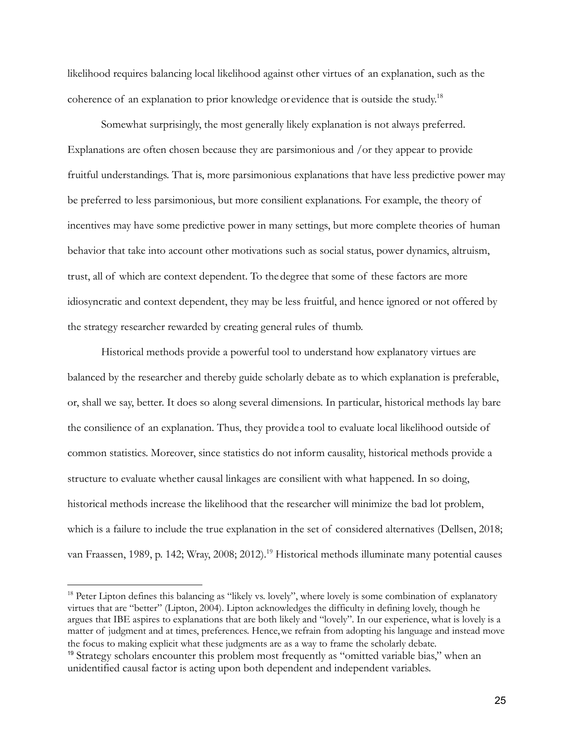likelihood requires balancing local likelihood against other virtues of an explanation, such as the coherence of an explanation to prior knowledge or evidence that is outside the study.<sup>18</sup>

Somewhat surprisingly, the most generally likely explanation is not always preferred. Explanations are often chosen because they are parsimonious and /or they appear to provide fruitful understandings. That is, more parsimonious explanations that have less predictive power may be preferred to less parsimonious, but more consilient explanations. For example, the theory of incentives may have some predictive power in many settings, but more complete theories of human behavior that take into account other motivations such as social status, power dynamics, altruism, trust, all of which are context dependent. To thedegree that some of these factors are more idiosyncratic and context dependent, they may be less fruitful, and hence ignored or not offered by the strategy researcher rewarded by creating general rules of thumb.

Historical methods provide a powerful tool to understand how explanatory virtues are balanced by the researcher and thereby guide scholarly debate as to which explanation is preferable, or, shall we say, better. It does so along several dimensions. In particular, historical methods lay bare the consilience of an explanation. Thus, they provide a tool to evaluate local likelihood outside of common statistics. Moreover, since statistics do not inform causality, historical methods provide a structure to evaluate whether causal linkages are consilient with what happened. In so doing, historical methods increase the likelihood that the researcher will minimize the bad lot problem, which is a failure to include the true explanation in the set of considered alternatives (Dellsen, 2018; van Fraassen, 1989, p. 142; Wray, 2008; 2012).<sup>19</sup> Historical methods illuminate many potential causes

<sup>&</sup>lt;sup>18</sup> Peter Lipton defines this balancing as "likely vs. lovely", where lovely is some combination of explanatory virtues that are "better" (Lipton, 2004). Lipton acknowledges the difficulty in defining lovely, though he argues that IBE aspires to explanations that are both likely and "lovely". In our experience, what is lovely is a matter of judgment and at times, preferences. Hence, we refrain from adopting his language and instead move the focus to making explicit what these judgments are as a way to frame the scholarly debate.

<sup>19</sup> Strategy scholars encounter this problem most frequently as "omitted variable bias," when an unidentified causal factor is acting upon both dependent and independent variables.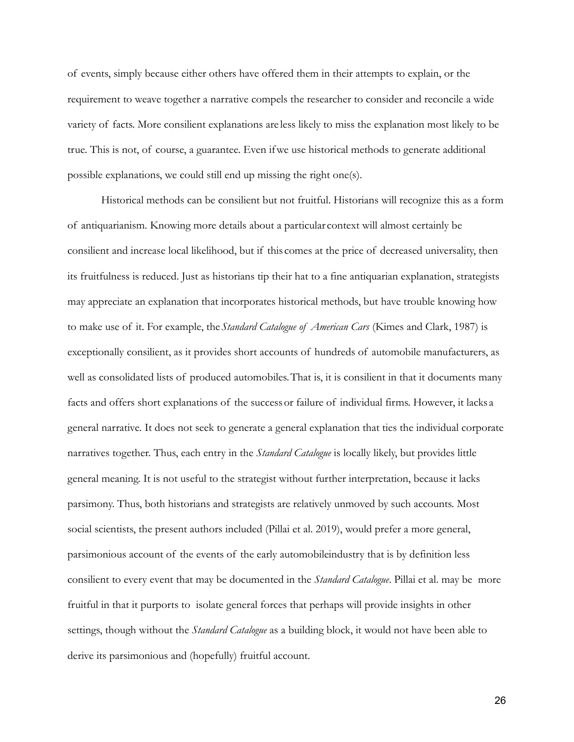of events, simply because either others have offered them in their attempts to explain, or the requirement to weave together a narrative compels the researcher to consider and reconcile a wide variety of facts. More consilient explanations are less likely to miss the explanation most likely to be true. This is not, of course, a guarantee. Even ifwe use historical methods to generate additional possible explanations, we could still end up missing the right one(s).

Historical methods can be consilient but not fruitful. Historians will recognize this as a form of antiquarianism. Knowing more details about a particular context will almost certainly be consilient and increase local likelihood, but if this comes at the price of decreased universality, then its fruitfulness is reduced. Just as historians tip their hat to a fine antiquarian explanation, strategists may appreciate an explanation that incorporates historical methods, but have trouble knowing how to make use of it. For example, the*Standard Catalogue of American Cars* (Kimes and Clark, 1987) is exceptionally consilient, as it provides short accounts of hundreds of automobile manufacturers, as well as consolidated lists of produced automobiles.That is, it is consilient in that it documents many facts and offers short explanations of the successor failure of individual firms. However, it lacks a general narrative. It does not seek to generate a general explanation that ties the individual corporate narratives together. Thus, each entry in the *Standard Catalogue* is locally likely, but provides little general meaning. It is not useful to the strategist without further interpretation, because it lacks parsimony. Thus, both historians and strategists are relatively unmoved by such accounts. Most social scientists, the present authors included (Pillai [et al. 2019\),](https://paperpile.com/c/pDNDGy/VSGj) would prefer a more general, parsimonious account of the events of the early automobileindustry that is by definition less consilient to every event that may be documented in the *Standard Catalogue*. Pillai et al. may be more fruitful in that it purports to isolate general forces that perhaps will provide insights in other settings, though without the *Standard Catalogue* as a building block, it would not have been able to derive its parsimonious and (hopefully) fruitful account.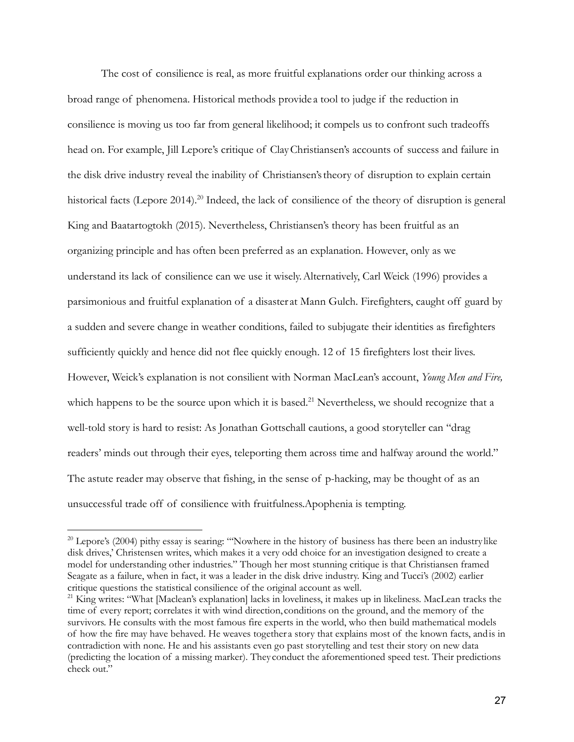The cost of consilience is real, as more fruitful explanations order our thinking across a broad range of phenomena. Historical methods provide a tool to judge if the reduction in consilience is moving us too far from general likelihood; it compels us to confront such tradeoffs head on. For example, Jill Lepore's critique of ClayChristiansen's accounts of success and failure in the disk drive industry reveal the inability of Christiansen'stheory of disruption to explain certain historical facts [\(](https://paperpile.com/c/pDNDGy/d4Mb)Lepore 201[4\).](https://paperpile.com/c/pDNDGy/d4Mb)<sup>20</sup> Indeed, the lack of consilience of the theory of disruption is general [King and Baatartogtokh](https://paperpile.com/c/pDNDGy/oSju) [\(2015\).](https://paperpile.com/c/pDNDGy/oSju/?noauthor=1) Nevertheless, Christiansen's theory has been fruitful as an organizing principle and has often been preferred as an explanation. However, only as we understand its lack of consilience can we use it wisely.Alternatively, Carl Weick (1996) provides a parsimonious and fruitful explanation of a disaster at Mann Gulch. Firefighters, caught off guard by a sudden and severe change in weather conditions, failed to subjugate their identities as firefighters sufficiently quickly and hence did not flee quickly enough. 12 of 15 firefighters lost their lives. However, Weick's explanation is not consilient with Norman MacLean's account, *Young Men and Fire,* which happens to be the source upon which it is based.<sup>21</sup> Nevertheless, we should recognize that a well-told story is hard to resist: As Jonathan Gottschall cautions, a good storyteller can "drag readers' minds out through their eyes, teleporting them across time and halfway around the world." The astute reader may observe that fishing, in the sense of p-hacking, may be thought of as an unsuccessful trade off of consilience with fruitfulness.Apophenia is tempting.

<sup>&</sup>lt;sup>20</sup> Lepore's (2004) pithy essay is searing: "'Nowhere in the history of business has there been an industry like disk drives,' Christensen writes, which makes it a very odd choice for an investigation designed to create a model for understanding other industries." Though her most stunning critique is that Christiansen framed Seagate as a failure, when in fact, it was a leader in the disk drive industry. King and Tucci's (2002) earlier critique questions the statistical consilience of the original account as well.

<sup>&</sup>lt;sup>21</sup> King writes: "What [Maclean's explanation] lacks in loveliness, it makes up in likeliness. MacLean tracks the time of every report; correlates it with wind direction, conditions on the ground, and the memory of the survivors. He consults with the most famous fire experts in the world, who then build mathematical models of how the fire may have behaved. He weaves together a story that explains most of the known facts, andis in contradiction with none. He and his assistants even go past storytelling and test their story on new data (predicting the location of a missing marker). They conduct the aforementioned speed test. Their predictions check out."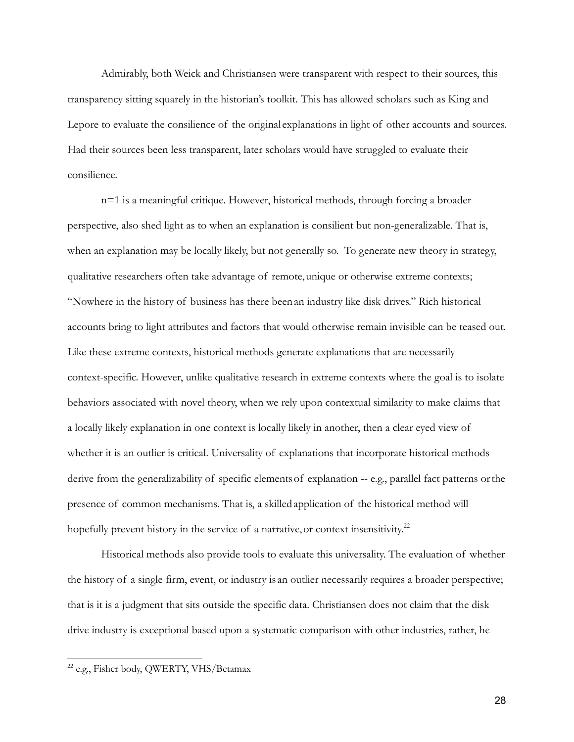Admirably, both Weick and Christiansen were transparent with respect to their sources, this transparency sitting squarely in the historian's toolkit. This has allowed scholars such as King and Lepore to evaluate the consilience of the original explanations in light of other accounts and sources. Had their sources been less transparent, later scholars would have struggled to evaluate their consilience.

n=1 is a meaningful critique. However, historical methods, through forcing a broader perspective, also shed light as to when an explanation is consilient but non-generalizable. That is, when an explanation may be locally likely, but not generally so. To generate new theory in strategy, qualitative researchers often take advantage of remote,unique or otherwise extreme contexts; "Nowhere in the history of business has there beenan industry like disk drives." Rich historical accounts bring to light attributes and factors that would otherwise remain invisible can be teased out. Like these extreme contexts, historical methods generate explanations that are necessarily context-specific. However, unlike qualitative research in extreme contexts where the goal is to isolate behaviors associated with novel theory, when we rely upon contextual similarity to make claims that a locally likely explanation in one context is locally likely in another, then a clear eyed view of whether it is an outlier is critical. Universality of explanations that incorporate historical methods derive from the generalizability of specific elementsof explanation -- e.g., parallel fact patterns orthe presence of common mechanisms. That is, a skilledapplication of the historical method will hopefully prevent history in the service of a narrative, or context insensitivity.<sup>22</sup>

Historical methods also provide tools to evaluate this universality. The evaluation of whether the history of a single firm, event, or industry is an outlier necessarily requires a broader perspective; that is it is a judgment that sits outside the specific data. Christiansen does not claim that the disk drive industry is exceptional based upon a systematic comparison with other industries, rather, he

<sup>22</sup> e.g., Fisher body, QWERTY, VHS/Betamax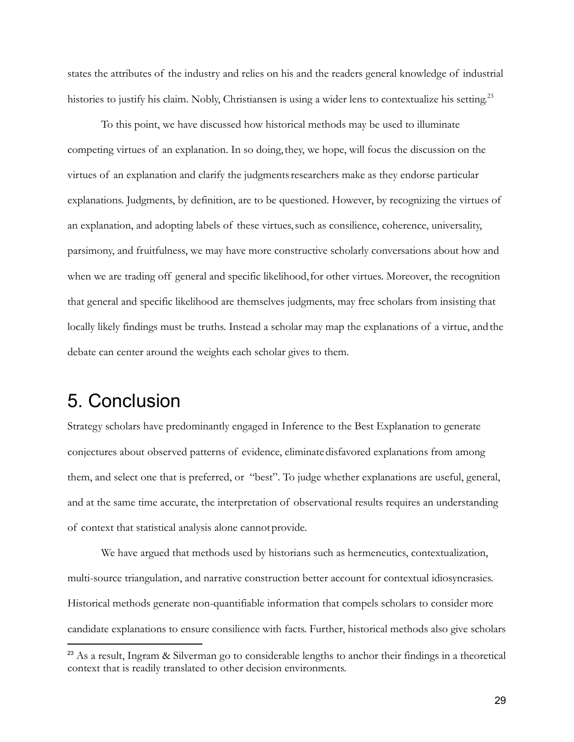states the attributes of the industry and relies on his and the readers general knowledge of industrial histories to justify his claim. Nobly, Christiansen is using a wider lens to contextualize his setting.<sup>23</sup>

To this point, we have discussed how historical methods may be used to illuminate competing virtues of an explanation. In so doing,they, we hope, will focus the discussion on the virtues of an explanation and clarify the judgments researchers make as they endorse particular explanations. Judgments, by definition, are to be questioned. However, by recognizing the virtues of an explanation, and adopting labels of these virtues,such as consilience, coherence, universality, parsimony, and fruitfulness, we may have more constructive scholarly conversations about how and when we are trading off general and specific likelihood, for other virtues. Moreover, the recognition that general and specific likelihood are themselves judgments, may free scholars from insisting that locally likely findings must be truths. Instead a scholar may map the explanations of a virtue, and the debate can center around the weights each scholar gives to them.

# 5. Conclusion

Strategy scholars have predominantly engaged in Inference to the Best Explanation to generate conjectures about observed patterns of evidence, eliminatedisfavored explanations from among them, and select one that is preferred, or "best". To judge whether explanations are useful, general, and at the same time accurate, the interpretation of observational results requires an understanding of context that statistical analysis alone cannotprovide.

We have argued that methods used by historians such as hermeneutics, contextualization, multi-source triangulation, and narrative construction better account for contextual idiosyncrasies. Historical methods generate non-quantifiable information that compels scholars to consider more candidate explanations to ensure consilience with facts. Further, historical methods also give scholars

<sup>&</sup>lt;sup>23</sup> As a result, Ingram & Silverman go to considerable lengths to anchor their findings in a theoretical context that is readily translated to other decision environments.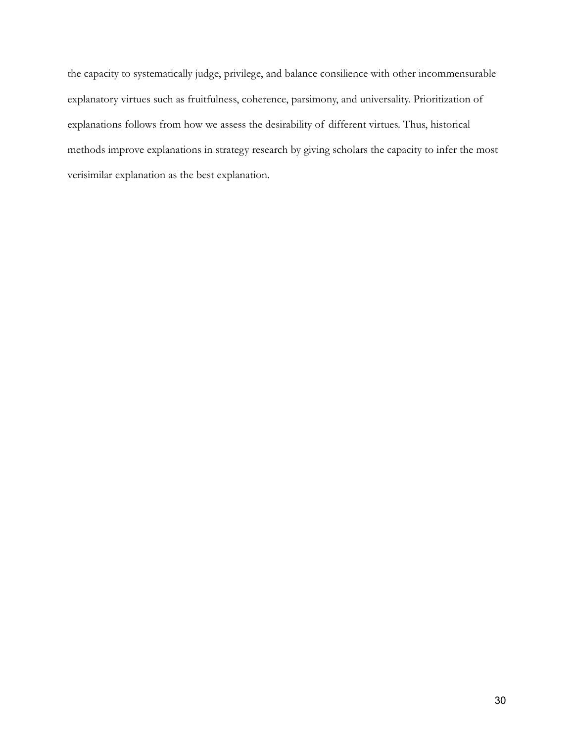the capacity to systematically judge, privilege, and balance consilience with other incommensurable explanatory virtues such as fruitfulness, coherence, parsimony, and universality. Prioritization of explanations follows from how we assess the desirability of different virtues. Thus, historical methods improve explanations in strategy research by giving scholars the capacity to infer the most verisimilar explanation as the best explanation.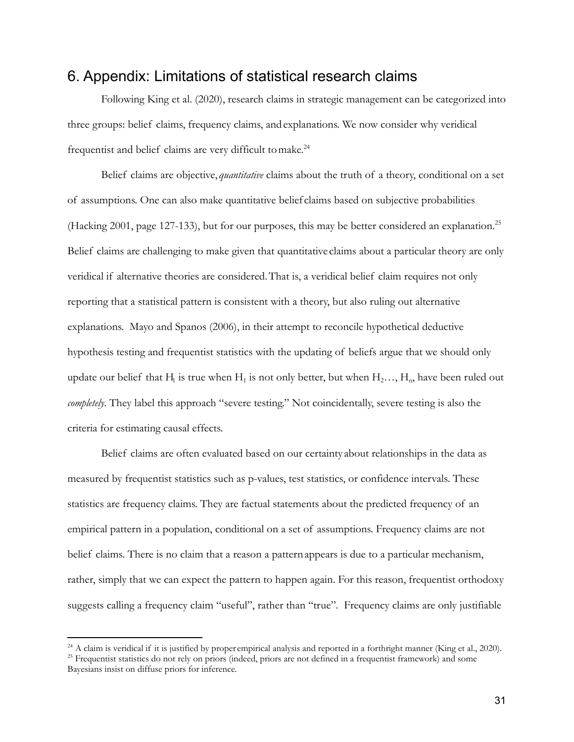### 6. Appendix: Limitations of statistical research claims

Following King et al. (2020), research claims in strategic management can be categorized into three groups: belief claims, frequency claims, andexplanations. We now consider why veridical frequentist and belief claims are very difficult to make.<sup>24</sup>

Belief claims are objective, *quantitative* claims about the truth of a theory, conditional on a set of assumptions. One can also make quantitative belief claims based on subjective probabilities (Hacking 2001, page 127-133), but for our purposes, this may be better considered an explanation.25 Belief claims are challenging to make given that quantitative claims about a particular theory are only veridical if alternative theories are considered.That is, a veridical belief claim requires not only reporting that a statistical pattern is consistent with a theory, but also ruling out alternative explanations. Mayo and Spanos (2006), in their attempt to reconcile hypothetical deductive hypothesis testing and frequentist statistics with the updating of beliefs argue that we should only update our belief that H<sub>1</sub> is true when H<sub>1</sub> is not only better, but when H<sub>2</sub>…, H<sub>n</sub>, have been ruled out *completely*. They label this approach "severe testing." Not coincidentally, severe testing is also the criteria for estimating causal effects.

Belief claims are often evaluated based on our certainty about relationships in the data as measured by frequentist statistics such as p-values, test statistics, or confidence intervals. These statistics are frequency claims. They are factual statements about the predicted frequency of an empirical pattern in a population, conditional on a set of assumptions. Frequency claims are not belief claims. There is no claim that a reason a patternappears is due to a particular mechanism, rather, simply that we can expect the pattern to happen again. For this reason, frequentist orthodoxy suggests calling a frequency claim "useful", rather than "true". Frequency claims are only justifiable

 $^{24}$  A claim is veridical if it is justified by proper empirical analysis and reported in a forthright manner (King et al., 2020).

 $25$  Frequentist statistics do not rely on priors (indeed, priors are not defined in a frequentist framework) and some Bayesians insist on diffuse priors for inference.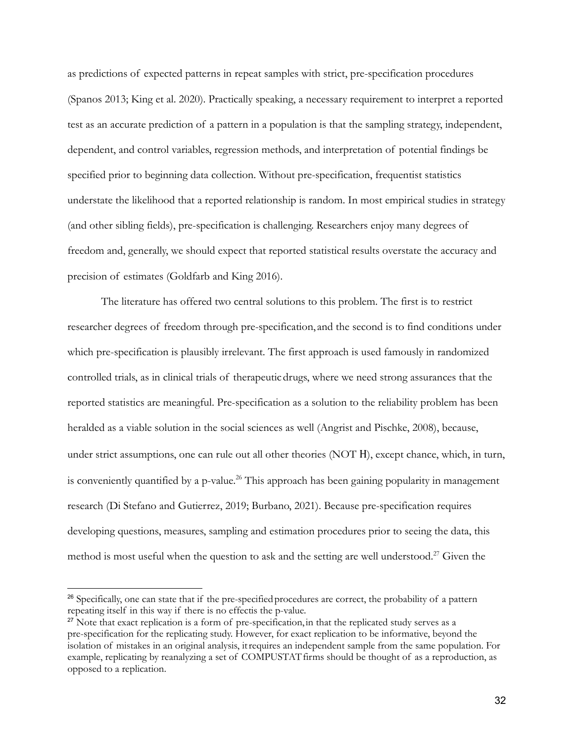as predictions of expected patterns in repeat samples with strict, pre-specification procedures (Spanos 2013; King et al. 2020). Practically speaking, a necessary requirement to interpret a reported test as an accurate prediction of a pattern in a population is that the sampling strategy, independent, dependent, and control variables, regression methods, and interpretation of potential findings be specified prior to beginning data collection. Without pre-specification, frequentist statistics understate the likelihood that a reported relationship is random. In most empirical studies in strategy (and other sibling fields), pre-specification is challenging. Researchers enjoy many degrees of freedom and, generally, we should expect that reported statistical results overstate the accuracy and precision of estimates (Goldfarb and King 2016).

The literature has offered two central solutions to this problem. The first is to restrict researcher degrees of freedom through pre-specification, and the second is to find conditions under which pre-specification is plausibly irrelevant. The first approach is used famously in randomized controlled trials, as in clinical trials of therapeuticdrugs, where we need strong assurances that the reported statistics are meaningful. Pre-specification as a solution to the reliability problem has been heralded as a viable solution in the social sciences as well (Angrist and Pischke, 2008), because, under strict assumptions, one can rule out all other theories (NOT H), except chance, which, in turn, is conveniently quantified by a p-value.<sup>26</sup> This approach has been gaining popularity in management research (Di Stefano and Gutierrez, 2019; Burbano, 2021). Because pre-specification requires developing questions, measures, sampling and estimation procedures prior to seeing the data, this method is most useful when the question to ask and the setting are well understood.<sup>27</sup> Given the

<sup>&</sup>lt;sup>26</sup> Specifically, one can state that if the pre-specified procedures are correct, the probability of a pattern repeating itself in this way if there is no effectis the p-value.

<sup>&</sup>lt;sup>27</sup> Note that exact replication is a form of pre-specification, in that the replicated study serves as a pre-specification for the replicating study. However, for exact replication to be informative, beyond the isolation of mistakes in an original analysis, itrequires an independent sample from the same population. For example, replicating by reanalyzing a set of COMPUSTAT firms should be thought of as a reproduction, as opposed to a replication.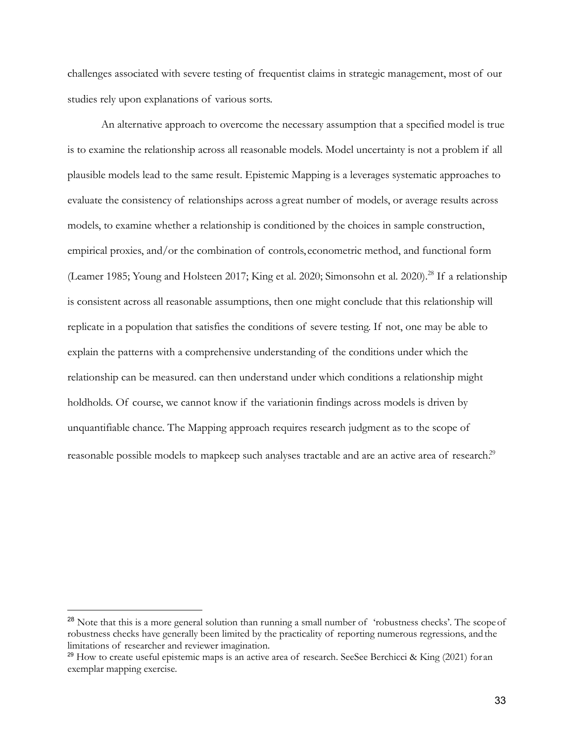challenges associated with severe testing of frequentist claims in strategic management, most of our studies rely upon explanations of various sorts.

An alternative approach to overcome the necessary assumption that a specified model is true is to examine the relationship across all reasonable models. Model uncertainty is not a problem if all plausible models lead to the same result. Epistemic Mapping is a leverages systematic approaches to evaluate the consistency of relationships across a great number of models, or average results across models, to examine whether a relationship is conditioned by the choices in sample construction, empirical proxies, and/or the combination of controls, econometric method, and functional form (Leamer 1985; Young and Holsteen 2017; King et al. 2020; Simonsohn et al. 2020).<sup>28</sup> If a relationship is consistent across all reasonable assumptions, then one might conclude that this relationship will replicate in a population that satisfies the conditions of severe testing. If not, one may be able to explain the patterns with a comprehensive understanding of the conditions under which the relationship can be measured. can then understand under which conditions a relationship might holdholds. Of course, we cannot know if the variationin findings across models is driven by unquantifiable chance. The Mapping approach requires research judgment as to the scope of reasonable possible models to mapkeep such analyses tractable and are an active area of research.<sup>29</sup>

<sup>&</sup>lt;sup>28</sup> Note that this is a more general solution than running a small number of 'robustness checks'. The scope of robustness checks have generally been limited by the practicality of reporting numerous regressions, andthe limitations of researcher and reviewer imagination.

<sup>&</sup>lt;sup>29</sup> How to create useful epistemic maps is an active area of research. SeeSee Berchicci & King (2021) for an exemplar mapping exercise.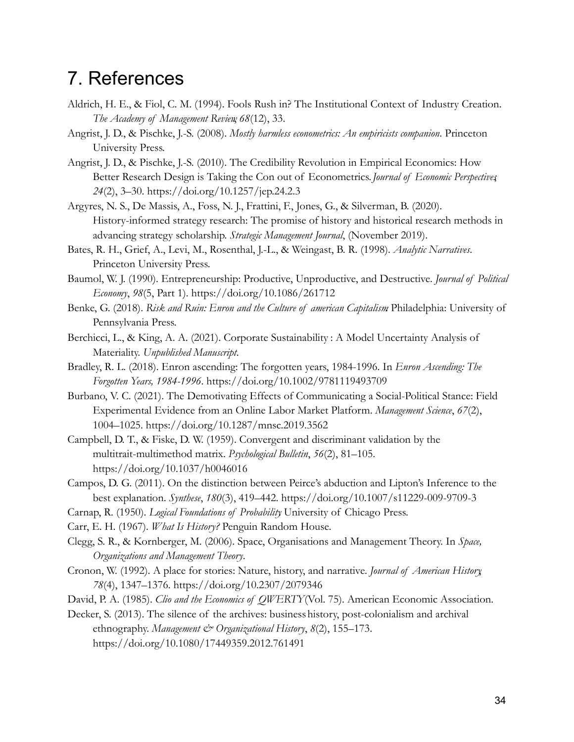# 7. References

- Aldrich, H. E., & Fiol, C. M. (1994). Fools Rush in? The Institutional Context of Industry Creation. *The Academy of Management Review*, *68*(12), 33.
- Angrist, J. D., & Pischke, J.-S. (2008). *Mostly harmless econometrics: An empiricists companion*. Princeton University Press.
- Angrist, J. D., & Pischke, J.-S. (2010). The Credibility Revolution in Empirical Economics: How Better Research Design is Taking the Con out of Econometrics.*Journal of Economic Perspectives*, *24*(2), 3–30. https://doi.org/10.1257/jep.24.2.3
- Argyres, N. S., De Massis, A., Foss, N. J., Frattini, F., Jones, G., & Silverman, B. (2020). History-informed strategy research: The promise of history and historical research methods in advancing strategy scholarship. *Strategic Management Journal*, (November 2019).
- Bates, R. H., Grief, A., Levi, M., Rosenthal, J.-L., & Weingast, B. R. (1998). *Analytic Narratives*. Princeton University Press.
- Baumol, W. J. (1990). Entrepreneurship: Productive, Unproductive, and Destructive. *Journal of Political Economy*, *98*(5, Part 1). https://doi.org/10.1086/261712
- Benke, G. (2018). *Risk and Ruin: Enron and the Culture of american Capitalism*. Philadelphia: University of Pennsylvania Press.
- Berchicci, L., & King, A. A. (2021). Corporate Sustainability : A Model Uncertainty Analysis of Materiality. *Unpublished Manuscript*.
- Bradley, R. L. (2018). Enron ascending: The forgotten years, 1984-1996. In *Enron Ascending: The Forgotten Years, 1984-1996*. https://doi.org/10.1002/9781119493709
- Burbano, V. C. (2021). The Demotivating Effects of Communicating a Social-Political Stance: Field Experimental Evidence from an Online Labor Market Platform. *Management Science*, *67*(2), 1004–1025. https://doi.org/10.1287/mnsc.2019.3562
- Campbell, D. T., & Fiske, D. W. (1959). Convergent and discriminant validation by the multitrait-multimethod matrix. *Psychological Bulletin*, *56*(2), 81–105. https://doi.org/10.1037/h0046016
- Campos, D. G. (2011). On the distinction between Peirce's abduction and Lipton's Inference to the best explanation. *Synthese*, *180*(3), 419–442. https://doi.org/10.1007/s11229-009-9709-3
- Carnap, R. (1950). *Logical Foundations of Probability*. University of Chicago Press.
- Carr, E. H. (1967). *What Is History?* Penguin Random House.
- Clegg, S. R., & Kornberger, M. (2006). Space, Organisations and Management Theory. In *Space, Organizations and Management Theory*.
- Cronon, W. (1992). A place for stories: Nature, history, and narrative. *Journal of American History*, *78*(4), 1347–1376. https://doi.org/10.2307/2079346
- David, P. A. (1985). *Clio and the Economics of QWERTY*(Vol. 75). American Economic Association.
- Decker, S. (2013). The silence of the archives: businesshistory, post-colonialism and archival ethnography. *Management & Organizational History*, 8(2), 155-173. https://doi.org/10.1080/17449359.2012.761491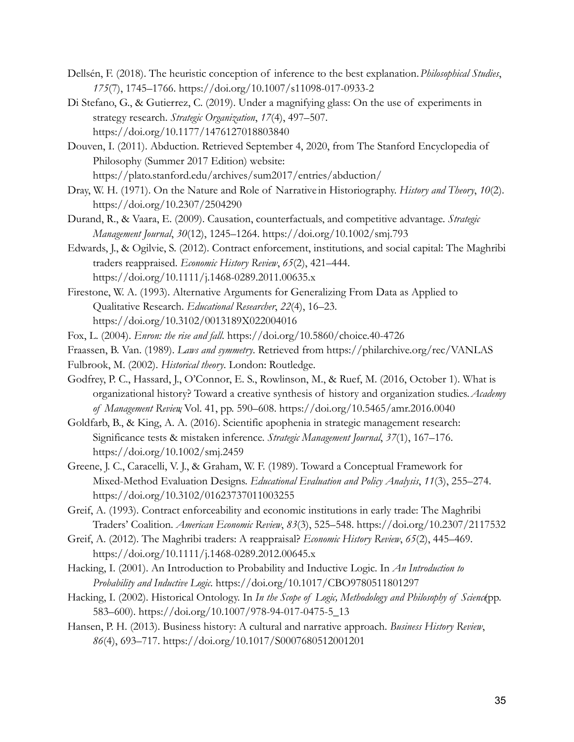- Dellsén, F. (2018). The heuristic conception of inference to the best explanation.*Philosophical Studies*, *175*(7), 1745–1766. https://doi.org/10.1007/s11098-017-0933-2
- Di Stefano, G., & Gutierrez, C. (2019). Under a magnifying glass: On the use of experiments in strategy research. *Strategic Organization*, *17*(4), 497–507. https://doi.org/10.1177/1476127018803840
- Douven, I. (2011). Abduction. Retrieved September 4, 2020, from The Stanford Encyclopedia of Philosophy (Summer 2017 Edition) website: https://plato.stanford.edu/archives/sum2017/entries/abduction/
- Dray, W. H. (1971). On the Nature and Role of Narrative in Historiography. *History and Theory*, *10*(2). https://doi.org/10.2307/2504290
- Durand, R., & Vaara, E. (2009). Causation, counterfactuals, and competitive advantage. *Strategic Management Journal*, *30*(12), 1245–1264. https://doi.org/10.1002/smj.793
- Edwards, J., & Ogilvie, S. (2012). Contract enforcement, institutions, and social capital: The Maghribi traders reappraised. *Economic History Review*, *65*(2), 421–444. https://doi.org/10.1111/j.1468-0289.2011.00635.x
- Firestone, W. A. (1993). Alternative Arguments for Generalizing From Data as Applied to Qualitative Research. *Educational Researcher*, *22*(4), 16–23. https://doi.org/10.3102/0013189X022004016
- Fox, L. (2004). *Enron: the rise and fall*. https://doi.org/10.5860/choice.40-4726
- Fraassen, B. Van. (1989). *Laws and symmetry*. Retrieved from https://philarchive.org/rec/VANLAS
- Fulbrook, M. (2002). *Historical theory*. London: Routledge.
- Godfrey, P. C., Hassard, J., O'Connor, E. S., Rowlinson, M., & Ruef, M. (2016, October 1). What is organizational history? Toward a creative synthesis of history and organization studies.*Academy of Management Review*, Vol. 41, pp. 590–608. https://doi.org/10.5465/amr.2016.0040
- Goldfarb, B., & King, A. A. (2016). Scientific apophenia in strategic management research: Significance tests & mistaken inference. *Strategic Management Journal*, *37*(1), 167–176. https://doi.org/10.1002/smj.2459
- Greene, J. C., Caracelli, V. J., & Graham, W. F. (1989). Toward a Conceptual Framework for Mixed-Method Evaluation Designs. *Educational Evaluation and Policy Analysis*, *11*(3), 255–274. https://doi.org/10.3102/01623737011003255
- Greif, A. (1993). Contract enforceability and economic institutions in early trade: The Maghribi Traders' Coalition. *American Economic Review*, *83*(3), 525–548. https://doi.org/10.2307/2117532
- Greif, A. (2012). The Maghribi traders: A reappraisal? *Economic History Review*, *65*(2), 445–469. https://doi.org/10.1111/j.1468-0289.2012.00645.x
- Hacking, I. (2001). An Introduction to Probability and Inductive Logic. In *An Introduction to Probability and Inductive Logic*. https://doi.org/10.1017/CBO9780511801297
- Hacking, I. (2002). Historical Ontology. In *In the Scope of Logic, Methodology and Philosophy of Science*(pp. 583–600). https://doi.org/10.1007/978-94-017-0475-5\_13
- Hansen, P. H. (2013). Business history: A cultural and narrative approach. *Business History Review*, *86*(4), 693–717. https://doi.org/10.1017/S0007680512001201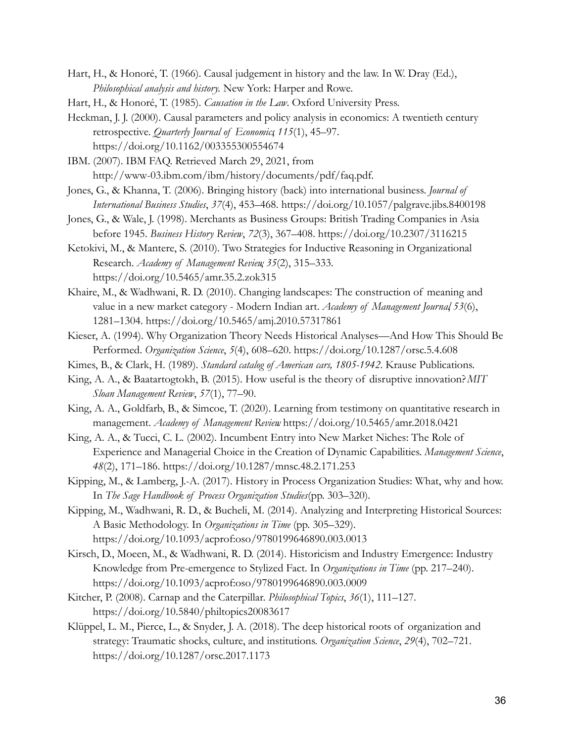- Hart, H., & Honoré, T. (1966). Causal judgement in history and the law. In W. Dray (Ed.), *Philosophical analysis and history.* New York: Harper and Rowe.
- Hart, H., & Honoré, T. (1985). *Causation in the Law*. Oxford University Press.
- Heckman, J. J. (2000). Causal parameters and policy analysis in economics: A twentieth century retrospective. *Quarterly Journal of Economics*, *115*(1), 45–97. https://doi.org/10.1162/003355300554674
- IBM. (2007). IBM FAQ. Retrieved March 29, 2021, from http://www-03.ibm.com/ibm/history/documents/pdf/faq.pdf.
- Jones, G., & Khanna, T. (2006). Bringing history (back) into international business. *Journal of International Business Studies*, *37*(4), 453–468. https://doi.org/10.1057/palgrave.jibs.8400198
- Jones, G., & Wale, J. (1998). Merchants as Business Groups: British Trading Companies in Asia before 1945. *Business History Review*, *72*(3), 367–408. https://doi.org/10.2307/3116215
- Ketokivi, M., & Mantere, S. (2010). Two Strategies for Inductive Reasoning in Organizational Research. *Academy of Management Review*, *35*(2), 315–333. https://doi.org/10.5465/amr.35.2.zok315
- Khaire, M., & Wadhwani, R. D. (2010). Changing landscapes: The construction of meaning and value in a new market category - Modern Indian art. *Academy of Management Journal*, *53*(6), 1281–1304. https://doi.org/10.5465/amj.2010.57317861
- Kieser, A. (1994). Why Organization Theory Needs Historical Analyses—And How This Should Be Performed. *Organization Science*, *5*(4), 608–620. https://doi.org/10.1287/orsc.5.4.608
- Kimes, B., & Clark, H. (1989). *Standard catalog of American cars, 1805-1942*. Krause Publications.
- King, A. A., & Baatartogtokh, B. (2015). How useful is the theory of disruptive innovation?*MIT Sloan Management Review*, *57*(1), 77–90.
- King, A. A., Goldfarb, B., & Simcoe, T. (2020). Learning from testimony on quantitative research in management. *Academy of Management Review*. https://doi.org/10.5465/amr.2018.0421
- King, A. A., & Tucci, C. L. (2002). Incumbent Entry into New Market Niches: The Role of Experience and Managerial Choice in the Creation of Dynamic Capabilities. *Management Science*, *48*(2), 171–186. https://doi.org/10.1287/mnsc.48.2.171.253
- Kipping, M., & Lamberg, J.-A. (2017). History in Process Organization Studies: What, why and how. In *The Sage Handbook of Process Organization Studies*(pp. 303–320).
- Kipping, M., Wadhwani, R. D., & Bucheli, M. (2014). Analyzing and Interpreting Historical Sources: A Basic Methodology. In *Organizations in Time* (pp. 305–329). https://doi.org/10.1093/acprof:oso/9780199646890.003.0013
- Kirsch, D., Moeen, M., & Wadhwani, R. D. (2014). Historicism and Industry Emergence: Industry Knowledge from Pre-emergence to Stylized Fact. In *Organizations in Time* (pp. 217–240). https://doi.org/10.1093/acprof:oso/9780199646890.003.0009
- Kitcher, P. (2008). Carnap and the Caterpillar. *Philosophical Topics*, *36*(1), 111–127. https://doi.org/10.5840/philtopics20083617
- Klüppel, L. M., Pierce, L., & Snyder, J. A. (2018). The deep historical roots of organization and strategy: Traumatic shocks, culture, and institutions. *Organization Science*, *29*(4), 702–721. https://doi.org/10.1287/orsc.2017.1173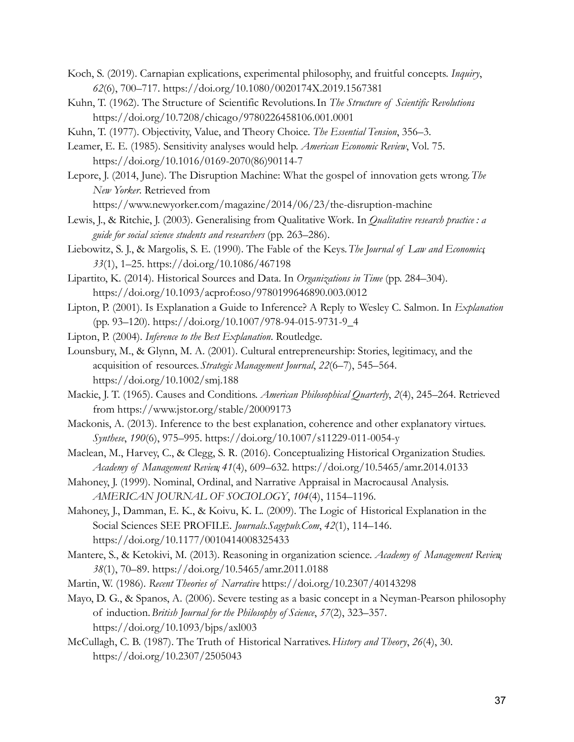- Koch, S. (2019). Carnapian explications, experimental philosophy, and fruitful concepts. *Inquiry*, *62*(6), 700–717. https://doi.org/10.1080/0020174X.2019.1567381
- Kuhn, T. (1962). The Structure of Scientific Revolutions.In *The Structure of Scientific Revolutions*. https://doi.org/10.7208/chicago/9780226458106.001.0001
- Kuhn, T. (1977). Objectivity, Value, and Theory Choice. *The Essential Tension*, 356–3.
- Leamer, E. E. (1985). Sensitivity analyses would help. *American Economic Review*, Vol. 75. https://doi.org/10.1016/0169-2070(86)90114-7
- Lepore, J. (2014, June). The Disruption Machine: What the gospel of innovation gets wrong.*The New Yorker*. Retrieved from

https://www.newyorker.com/magazine/2014/06/23/the-disruption-machine

- Lewis, J., & Ritchie, J. (2003). Generalising from Qualitative Work. In *Qualitative research practice : a guide for social science students and researchers* (pp. 263–286).
- Liebowitz, S. J., & Margolis, S. E. (1990). The Fable of the Keys.*The Journal of Law and Economics*, *33*(1), 1–25. https://doi.org/10.1086/467198
- Lipartito, K. (2014). Historical Sources and Data. In *Organizations in Time* (pp. 284–304). https://doi.org/10.1093/acprof:oso/9780199646890.003.0012
- Lipton, P. (2001). Is Explanation a Guide to Inference? A Reply to Wesley C. Salmon. In *Explanation* (pp. 93–120). https://doi.org/10.1007/978-94-015-9731-9\_4

Lipton, P. (2004). *Inference to the Best Explanation*. Routledge.

- Lounsbury, M., & Glynn, M. A. (2001). Cultural entrepreneurship: Stories, legitimacy, and the acquisition of resources.*Strategic Management Journal*, *22*(6–7), 545–564. https://doi.org/10.1002/smj.188
- Mackie, J. T. (1965). Causes and Conditions. *American Philosophical Quarterly*, *2*(4), 245–264. Retrieved from https://www.jstor.org/stable/20009173
- Mackonis, A. (2013). Inference to the best explanation, coherence and other explanatory virtues. *Synthese*, *190*(6), 975–995. https://doi.org/10.1007/s11229-011-0054-y
- Maclean, M., Harvey, C., & Clegg, S. R. (2016). Conceptualizing Historical Organization Studies. *Academy of Management Review*, *41*(4), 609–632. https://doi.org/10.5465/amr.2014.0133
- Mahoney, J. (1999). Nominal, Ordinal, and Narrative Appraisal in Macrocausal Analysis. *AMERICAN JOURNAL OF SOCIOLOGY*, *104*(4), 1154–1196.
- Mahoney, J., Damman, E. K., & Koivu, K. L. (2009). The Logic of Historical Explanation in the Social Sciences SEE PROFILE. *Journals.Sagepub.Com*, *42*(1), 114–146. https://doi.org/10.1177/0010414008325433
- Mantere, S., & Ketokivi, M. (2013). Reasoning in organization science. *Academy of Management Review*, *38*(1), 70–89. https://doi.org/10.5465/amr.2011.0188
- Martin, W. (1986). *Recent Theories of Narrative*. https://doi.org/10.2307/40143298
- Mayo, D. G., & Spanos, A. (2006). Severe testing as a basic concept in a Neyman-Pearson philosophy of induction.*British Journal for the Philosophy of Science*, *57*(2), 323–357. https://doi.org/10.1093/bjps/axl003
- McCullagh, C. B. (1987). The Truth of Historical Narratives.*History and Theory*, *26*(4), 30. https://doi.org/10.2307/2505043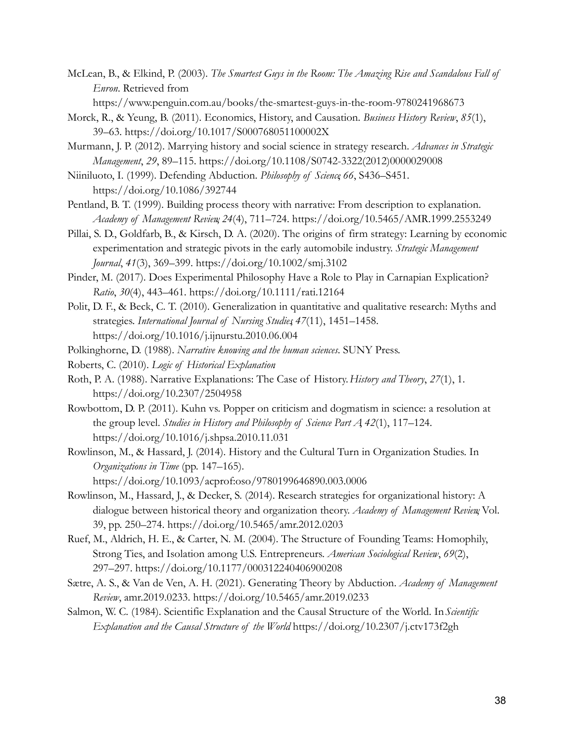- McLean, B., & Elkind, P. (2003). *The Smartest Guys in the Room: The Amazing Rise and Scandalous Fall of Enron*. Retrieved from
	- https://www.penguin.com.au/books/the-smartest-guys-in-the-room-9780241968673
- Morck, R., & Yeung, B. (2011). Economics, History, and Causation. *Business History Review*, *85*(1), 39–63. https://doi.org/10.1017/S000768051100002X
- Murmann, J. P. (2012). Marrying history and social science in strategy research. *Advances in Strategic Management*, *29*, 89–115. https://doi.org/10.1108/S0742-3322(2012)0000029008
- Niiniluoto, I. (1999). Defending Abduction. *Philosophy of Science*, *66*, S436–S451. https://doi.org/10.1086/392744
- Pentland, B. T. (1999). Building process theory with narrative: From description to explanation. *Academy of Management Review*, *24*(4), 711–724. https://doi.org/10.5465/AMR.1999.2553249
- Pillai, S. D., Goldfarb, B., & Kirsch, D. A. (2020). The origins of firm strategy: Learning by economic experimentation and strategic pivots in the early automobile industry. *Strategic Management Journal*, *41*(3), 369–399. https://doi.org/10.1002/smj.3102
- Pinder, M. (2017). Does Experimental Philosophy Have a Role to Play in Carnapian Explication? *Ratio*, *30*(4), 443–461. https://doi.org/10.1111/rati.12164
- Polit, D. F., & Beck, C. T. (2010). Generalization in quantitative and qualitative research: Myths and strategies. *International Journal of Nursing Studies*, *47*(11), 1451–1458. https://doi.org/10.1016/j.ijnurstu.2010.06.004
- Polkinghorne, D. (1988). *Narrative knowing and the human sciences*. SUNY Press.
- Roberts, C. (2010). *Logic of Historical Explanation*.
- Roth, P. A. (1988). Narrative Explanations: The Case of History.*History and Theory*, *27*(1), 1. https://doi.org/10.2307/2504958
- Rowbottom, D. P. (2011). Kuhn vs. Popper on criticism and dogmatism in science: a resolution at the group level. *Studies in History and Philosophy of Science Part A*, *42*(1), 117–124. https://doi.org/10.1016/j.shpsa.2010.11.031
- Rowlinson, M., & Hassard, J. (2014). History and the Cultural Turn in Organization Studies. In *Organizations in Time* (pp. 147–165). https://doi.org/10.1093/acprof:oso/9780199646890.003.0006
- Rowlinson, M., Hassard, J., & Decker, S. (2014). Research strategies for organizational history: A dialogue between historical theory and organization theory. *Academy of Management Review*, Vol. 39, pp. 250–274. https://doi.org/10.5465/amr.2012.0203
- Ruef, M., Aldrich, H. E., & Carter, N. M. (2004). The Structure of Founding Teams: Homophily, Strong Ties, and Isolation among U.S. Entrepreneurs. *American Sociological Review*, *69*(2), 297–297. https://doi.org/10.1177/000312240406900208
- Sætre, A. S., & Van de Ven, A. H. (2021). Generating Theory by Abduction. *Academy of Management Review*, amr.2019.0233. https://doi.org/10.5465/amr.2019.0233
- Salmon, W. C. (1984). Scientific Explanation and the Causal Structure of the World. In*Scientific Explanation and the Causal Structure of the World*. https://doi.org/10.2307/j.ctv173f2gh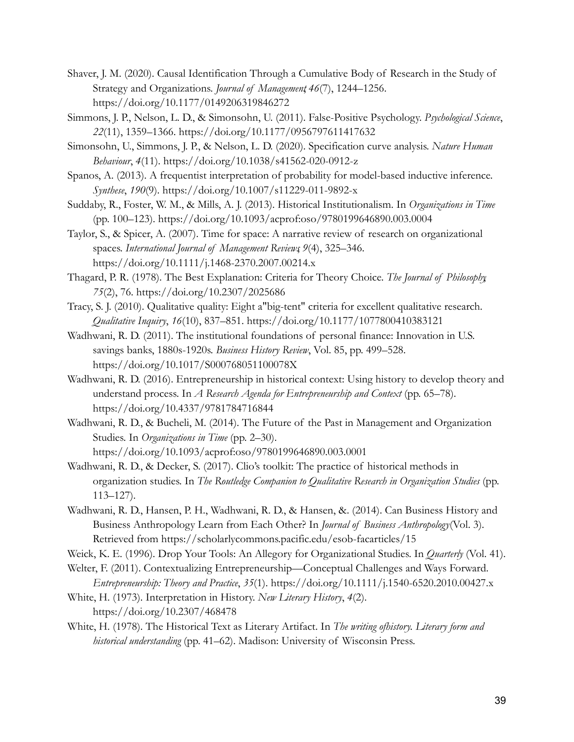- Shaver, J. M. (2020). Causal Identification Through a Cumulative Body of Research in the Study of Strategy and Organizations. *Journal of Management*, *46*(7), 1244–1256. https://doi.org/10.1177/0149206319846272
- Simmons, J. P., Nelson, L. D., & Simonsohn, U. (2011). False-Positive Psychology. *Psychological Science*, *22*(11), 1359–1366. https://doi.org/10.1177/0956797611417632
- Simonsohn, U., Simmons, J. P., & Nelson, L. D. (2020). Specification curve analysis. *Nature Human Behaviour*, *4*(11). https://doi.org/10.1038/s41562-020-0912-z
- Spanos, A. (2013). A frequentist interpretation of probability for model-based inductive inference. *Synthese*, *190*(9). https://doi.org/10.1007/s11229-011-9892-x
- Suddaby, R., Foster, W. M., & Mills, A. J. (2013). Historical Institutionalism. In *Organizations in Time* (pp. 100–123). https://doi.org/10.1093/acprof:oso/9780199646890.003.0004
- Taylor, S., & Spicer, A. (2007). Time for space: A narrative review of research on organizational spaces. *International Journal of Management Reviews*, *9*(4), 325–346. https://doi.org/10.1111/j.1468-2370.2007.00214.x
- Thagard, P. R. (1978). The Best Explanation: Criteria for Theory Choice. *The Journal of Philosophy*, *75*(2), 76. https://doi.org/10.2307/2025686
- Tracy, S. J. (2010). Qualitative quality: Eight a"big-tent" criteria for excellent qualitative research. *Qualitative Inquiry*, *16*(10), 837–851. https://doi.org/10.1177/1077800410383121
- Wadhwani, R. D. (2011). The institutional foundations of personal finance: Innovation in U.S. savings banks, 1880s-1920s. *Business History Review*, Vol. 85, pp. 499–528. https://doi.org/10.1017/S000768051100078X
- Wadhwani, R. D. (2016). Entrepreneurship in historical context: Using history to develop theory and understand process. In *A Research Agenda for Entrepreneurship and Context* (pp. 65–78). https://doi.org/10.4337/9781784716844
- Wadhwani, R. D., & Bucheli, M. (2014). The Future of the Past in Management and Organization Studies. In *Organizations in Time* (pp. 2–30). https://doi.org/10.1093/acprof:oso/9780199646890.003.0001
- Wadhwani, R. D., & Decker, S. (2017). Clio's toolkit: The practice of historical methods in organization studies. In *The Routledge Companion to Qualitative Research in Organization Studies* (pp. 113–127).
- Wadhwani, R. D., Hansen, P. H., Wadhwani, R. D., & Hansen, &. (2014). Can Business History and Business Anthropology Learn from Each Other? In *Journal of Business Anthropology*(Vol. 3). Retrieved from https://scholarlycommons.pacific.edu/esob-facarticles/15
- Weick, K. E. (1996). Drop Your Tools: An Allegory for Organizational Studies. In *Quarterly* (Vol. 41).
- Welter, F. (2011). Contextualizing Entrepreneurship—Conceptual Challenges and Ways Forward. *Entrepreneurship: Theory and Practice*, *35*(1). https://doi.org/10.1111/j.1540-6520.2010.00427.x
- White, H. (1973). Interpretation in History. *New Literary History*, *4*(2). https://doi.org/10.2307/468478
- White, H. (1978). The Historical Text as Literary Artifact. In *The writing ofhistory. Literary form and historical understanding* (pp. 41–62). Madison: University of Wisconsin Press.